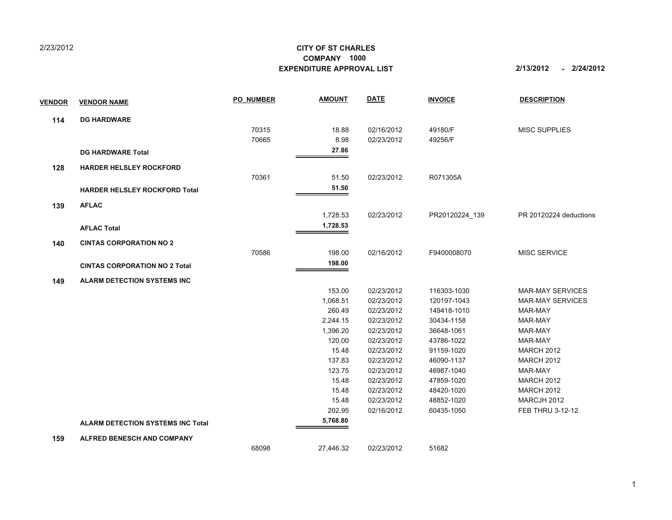## 2/23/2012

## **CITY OF ST CHARLESEXPENDITURE APPROVAL LIST COMPANY 1000**

**2/13/2012 2/24/2012 -**

| <b>VENDOR</b> | <b>VENDOR NAME</b>                       | <b>PO NUMBER</b> | <b>AMOUNT</b> | <b>DATE</b> | <b>INVOICE</b> | <b>DESCRIPTION</b>      |
|---------------|------------------------------------------|------------------|---------------|-------------|----------------|-------------------------|
| 114           | <b>DG HARDWARE</b>                       |                  |               |             |                |                         |
|               |                                          | 70315            | 18.88         | 02/16/2012  | 49180/F        | <b>MISC SUPPLIES</b>    |
|               |                                          | 70665            | 8.98          | 02/23/2012  | 49256/F        |                         |
|               | <b>DG HARDWARE Total</b>                 |                  | 27.86         |             |                |                         |
| 128           | <b>HARDER HELSLEY ROCKFORD</b>           |                  |               |             |                |                         |
|               |                                          | 70361            | 51.50         | 02/23/2012  | R071305A       |                         |
|               | <b>HARDER HELSLEY ROCKFORD Total</b>     |                  | 51.50         |             |                |                         |
| 139           | <b>AFLAC</b>                             |                  |               |             |                |                         |
|               |                                          |                  | 1,728.53      | 02/23/2012  | PR20120224_139 | PR 20120224 deductions  |
|               | <b>AFLAC Total</b>                       |                  | 1,728.53      |             |                |                         |
| 140           | <b>CINTAS CORPORATION NO 2</b>           |                  |               |             |                |                         |
|               |                                          | 70586            | 198.00        | 02/16/2012  | F9400008070    | <b>MISC SERVICE</b>     |
|               | <b>CINTAS CORPORATION NO 2 Total</b>     |                  | 198.00        |             |                |                         |
| 149           | <b>ALARM DETECTION SYSTEMS INC</b>       |                  |               |             |                |                         |
|               |                                          |                  | 153.00        | 02/23/2012  | 116303-1030    | <b>MAR-MAY SERVICES</b> |
|               |                                          |                  | 1,068.51      | 02/23/2012  | 120197-1043    | <b>MAR-MAY SERVICES</b> |
|               |                                          |                  | 260.49        | 02/23/2012  | 149418-1010    | MAR-MAY                 |
|               |                                          |                  | 2,244.15      | 02/23/2012  | 30434-1158     | MAR-MAY                 |
|               |                                          |                  | 1,396.20      | 02/23/2012  | 36648-1061     | MAR-MAY                 |
|               |                                          |                  | 120.00        | 02/23/2012  | 43786-1022     | MAR-MAY                 |
|               |                                          |                  | 15.48         | 02/23/2012  | 91159-1020     | <b>MARCH 2012</b>       |
|               |                                          |                  | 137.83        | 02/23/2012  | 46090-1137     | <b>MARCH 2012</b>       |
|               |                                          |                  | 123.75        | 02/23/2012  | 46987-1040     | MAR-MAY                 |
|               |                                          |                  | 15.48         | 02/23/2012  | 47859-1020     | <b>MARCH 2012</b>       |
|               |                                          |                  | 15.48         | 02/23/2012  | 48420-1020     | <b>MARCH 2012</b>       |
|               |                                          |                  | 15.48         | 02/23/2012  | 48852-1020     | MARCJH 2012             |
|               |                                          |                  | 202.95        | 02/16/2012  | 60435-1050     | FEB THRU 3-12-12        |
|               | <b>ALARM DETECTION SYSTEMS INC Total</b> |                  | 5,768.80      |             |                |                         |
| 159           | <b>ALFRED BENESCH AND COMPANY</b>        |                  |               |             |                |                         |
|               |                                          | 68098            | 27,446.32     | 02/23/2012  | 51682          |                         |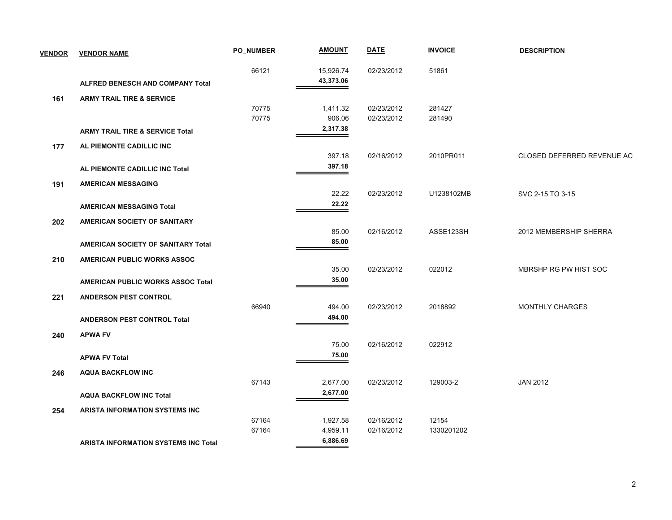| <b>VENDOR</b> | <b>VENDOR NAME</b>                          | <b>PO NUMBER</b> | <b>AMOUNT</b> | <b>DATE</b> | <b>INVOICE</b> | <b>DESCRIPTION</b>         |
|---------------|---------------------------------------------|------------------|---------------|-------------|----------------|----------------------------|
|               |                                             | 66121            | 15,926.74     | 02/23/2012  | 51861          |                            |
|               | ALFRED BENESCH AND COMPANY Total            |                  | 43,373.06     |             |                |                            |
| 161           | <b>ARMY TRAIL TIRE &amp; SERVICE</b>        |                  |               |             |                |                            |
|               |                                             | 70775            | 1,411.32      | 02/23/2012  | 281427         |                            |
|               |                                             | 70775            | 906.06        | 02/23/2012  | 281490         |                            |
|               | <b>ARMY TRAIL TIRE &amp; SERVICE Total</b>  |                  | 2,317.38      |             |                |                            |
| 177           | AL PIEMONTE CADILLIC INC                    |                  |               |             |                |                            |
|               |                                             |                  | 397.18        | 02/16/2012  | 2010PR011      | CLOSED DEFERRED REVENUE AC |
|               | AL PIEMONTE CADILLIC INC Total              |                  | 397.18        |             |                |                            |
| 191           | <b>AMERICAN MESSAGING</b>                   |                  |               |             |                |                            |
|               |                                             |                  | 22.22         | 02/23/2012  | U1238102MB     | SVC 2-15 TO 3-15           |
|               | <b>AMERICAN MESSAGING Total</b>             |                  | 22.22         |             |                |                            |
| 202           | AMERICAN SOCIETY OF SANITARY                |                  |               |             |                |                            |
|               |                                             |                  | 85.00         | 02/16/2012  | ASSE123SH      | 2012 MEMBERSHIP SHERRA     |
|               | <b>AMERICAN SOCIETY OF SANITARY Total</b>   |                  | 85.00         |             |                |                            |
| 210           | AMERICAN PUBLIC WORKS ASSOC                 |                  |               |             |                |                            |
|               |                                             |                  | 35.00         | 02/23/2012  | 022012         | MBRSHP RG PW HIST SOC      |
|               | <b>AMERICAN PUBLIC WORKS ASSOC Total</b>    |                  | 35.00         |             |                |                            |
| 221           | <b>ANDERSON PEST CONTROL</b>                |                  |               |             |                |                            |
|               |                                             | 66940            | 494.00        | 02/23/2012  | 2018892        | <b>MONTHLY CHARGES</b>     |
|               | <b>ANDERSON PEST CONTROL Total</b>          |                  | 494.00        |             |                |                            |
| 240           | <b>APWA FV</b>                              |                  |               |             |                |                            |
|               |                                             |                  | 75.00         | 02/16/2012  | 022912         |                            |
|               | <b>APWA FV Total</b>                        |                  | 75.00         |             |                |                            |
| 246           | <b>AQUA BACKFLOW INC</b>                    |                  |               |             |                |                            |
|               |                                             | 67143            | 2,677.00      | 02/23/2012  | 129003-2       | <b>JAN 2012</b>            |
|               | <b>AQUA BACKFLOW INC Total</b>              |                  | 2,677.00      |             |                |                            |
|               |                                             |                  |               |             |                |                            |
| 254           | <b>ARISTA INFORMATION SYSTEMS INC</b>       | 67164            | 1,927.58      | 02/16/2012  | 12154          |                            |
|               |                                             | 67164            | 4,959.11      | 02/16/2012  | 1330201202     |                            |
|               | <b>ARISTA INFORMATION SYSTEMS INC Total</b> |                  | 6,886.69      |             |                |                            |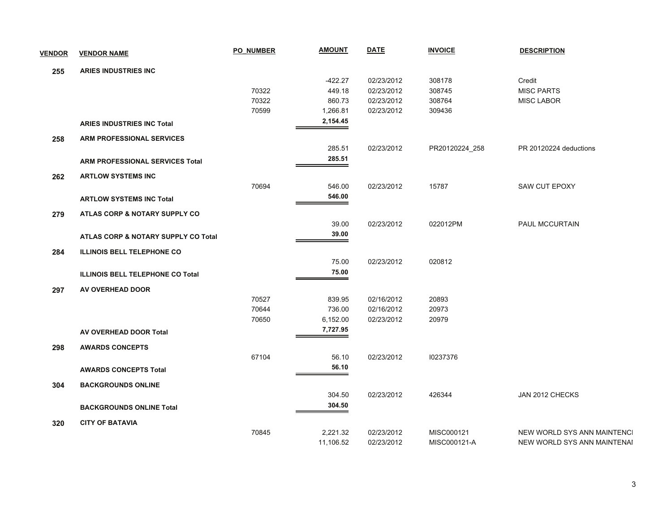| <b>VENDOR</b> | <b>VENDOR NAME</b>                      | <b>PO NUMBER</b> | <b>AMOUNT</b> | <b>DATE</b> | <b>INVOICE</b> | <b>DESCRIPTION</b>          |
|---------------|-----------------------------------------|------------------|---------------|-------------|----------------|-----------------------------|
| 255           | <b>ARIES INDUSTRIES INC</b>             |                  |               |             |                |                             |
|               |                                         |                  | $-422.27$     | 02/23/2012  | 308178         | Credit                      |
|               |                                         | 70322            | 449.18        | 02/23/2012  | 308745         | <b>MISC PARTS</b>           |
|               |                                         | 70322            | 860.73        | 02/23/2012  | 308764         | <b>MISC LABOR</b>           |
|               |                                         | 70599            | 1,266.81      | 02/23/2012  | 309436         |                             |
|               |                                         |                  | 2,154.45      |             |                |                             |
|               | <b>ARIES INDUSTRIES INC Total</b>       |                  |               |             |                |                             |
| 258           | <b>ARM PROFESSIONAL SERVICES</b>        |                  |               |             |                |                             |
|               |                                         |                  | 285.51        | 02/23/2012  | PR20120224_258 | PR 20120224 deductions      |
|               | <b>ARM PROFESSIONAL SERVICES Total</b>  |                  | 285.51        |             |                |                             |
| 262           | <b>ARTLOW SYSTEMS INC</b>               |                  |               |             |                |                             |
|               |                                         | 70694            | 546.00        | 02/23/2012  | 15787          | SAW CUT EPOXY               |
|               | <b>ARTLOW SYSTEMS INC Total</b>         |                  | 546.00        |             |                |                             |
|               |                                         |                  |               |             |                |                             |
| 279           | ATLAS CORP & NOTARY SUPPLY CO           |                  |               |             |                |                             |
|               |                                         |                  | 39.00         | 02/23/2012  | 022012PM       | PAUL MCCURTAIN              |
|               | ATLAS CORP & NOTARY SUPPLY CO Total     |                  | 39.00         |             |                |                             |
| 284           | <b>ILLINOIS BELL TELEPHONE CO</b>       |                  |               |             |                |                             |
|               |                                         |                  | 75.00         | 02/23/2012  | 020812         |                             |
|               | <b>ILLINOIS BELL TELEPHONE CO Total</b> |                  | 75.00         |             |                |                             |
| 297           | AV OVERHEAD DOOR                        |                  |               |             |                |                             |
|               |                                         | 70527            | 839.95        | 02/16/2012  | 20893          |                             |
|               |                                         | 70644            | 736.00        | 02/16/2012  | 20973          |                             |
|               |                                         | 70650            | 6,152.00      | 02/23/2012  | 20979          |                             |
|               |                                         |                  | 7,727.95      |             |                |                             |
|               | AV OVERHEAD DOOR Total                  |                  |               |             |                |                             |
| 298           | <b>AWARDS CONCEPTS</b>                  |                  |               |             |                |                             |
|               |                                         | 67104            | 56.10         | 02/23/2012  | 10237376       |                             |
|               | <b>AWARDS CONCEPTS Total</b>            |                  | 56.10         |             |                |                             |
| 304           | <b>BACKGROUNDS ONLINE</b>               |                  |               |             |                |                             |
|               |                                         |                  | 304.50        | 02/23/2012  | 426344         | JAN 2012 CHECKS             |
|               | <b>BACKGROUNDS ONLINE Total</b>         |                  | 304.50        |             |                |                             |
|               |                                         |                  |               |             |                |                             |
| 320           | <b>CITY OF BATAVIA</b>                  |                  |               |             |                |                             |
|               |                                         | 70845            | 2,221.32      | 02/23/2012  | MISC000121     | NEW WORLD SYS ANN MAINTENCI |
|               |                                         |                  | 11,106.52     | 02/23/2012  | MISC000121-A   | NEW WORLD SYS ANN MAINTENAI |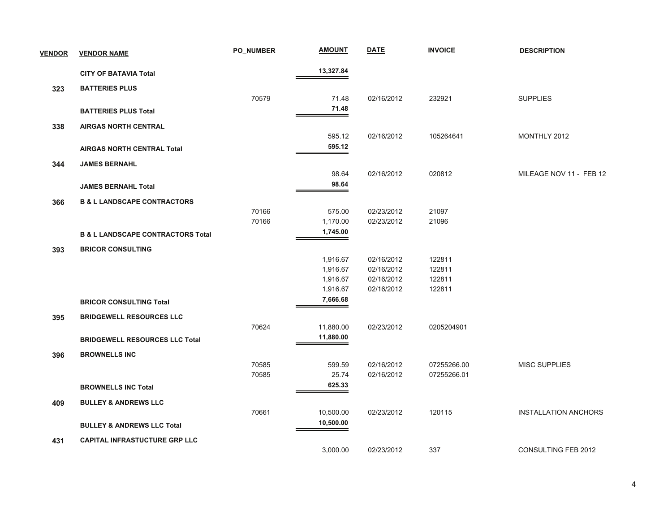| <b>VENDOR</b> | <b>VENDOR NAME</b>                           | <b>PO NUMBER</b> | <b>AMOUNT</b>        | <b>DATE</b> | <b>INVOICE</b> | <b>DESCRIPTION</b>          |
|---------------|----------------------------------------------|------------------|----------------------|-------------|----------------|-----------------------------|
|               | <b>CITY OF BATAVIA Total</b>                 |                  | 13,327.84            |             |                |                             |
| 323           | <b>BATTERIES PLUS</b>                        |                  |                      |             |                |                             |
|               |                                              | 70579            | 71.48                | 02/16/2012  | 232921         | <b>SUPPLIES</b>             |
|               | <b>BATTERIES PLUS Total</b>                  |                  | 71.48                |             |                |                             |
| 338           | <b>AIRGAS NORTH CENTRAL</b>                  |                  |                      |             |                |                             |
|               |                                              |                  | 595.12               | 02/16/2012  | 105264641      | MONTHLY 2012                |
|               | <b>AIRGAS NORTH CENTRAL Total</b>            |                  | 595.12               |             |                |                             |
| 344           | <b>JAMES BERNAHL</b>                         |                  |                      |             |                |                             |
|               |                                              |                  | 98.64                | 02/16/2012  | 020812         | MILEAGE NOV 11 - FEB 12     |
|               | <b>JAMES BERNAHL Total</b>                   |                  | 98.64                |             |                |                             |
| 366           | <b>B &amp; L LANDSCAPE CONTRACTORS</b>       |                  |                      |             |                |                             |
|               |                                              | 70166            | 575.00               | 02/23/2012  | 21097          |                             |
|               |                                              | 70166            | 1,170.00             | 02/23/2012  | 21096          |                             |
|               | <b>B &amp; L LANDSCAPE CONTRACTORS Total</b> |                  | 1,745.00             |             |                |                             |
| 393           | <b>BRICOR CONSULTING</b>                     |                  |                      |             |                |                             |
|               |                                              |                  | 1,916.67             | 02/16/2012  | 122811         |                             |
|               |                                              |                  | 1,916.67             | 02/16/2012  | 122811         |                             |
|               |                                              |                  | 1,916.67             | 02/16/2012  | 122811         |                             |
|               |                                              |                  | 1,916.67<br>7,666.68 | 02/16/2012  | 122811         |                             |
|               | <b>BRICOR CONSULTING Total</b>               |                  |                      |             |                |                             |
| 395           | <b>BRIDGEWELL RESOURCES LLC</b>              |                  |                      |             |                |                             |
|               |                                              | 70624            | 11,880.00            | 02/23/2012  | 0205204901     |                             |
|               | <b>BRIDGEWELL RESOURCES LLC Total</b>        |                  | 11,880.00            |             |                |                             |
| 396           | <b>BROWNELLS INC</b>                         |                  |                      |             |                |                             |
|               |                                              | 70585            | 599.59               | 02/16/2012  | 07255266.00    | <b>MISC SUPPLIES</b>        |
|               |                                              | 70585            | 25.74                | 02/16/2012  | 07255266.01    |                             |
|               | <b>BROWNELLS INC Total</b>                   |                  | 625.33               |             |                |                             |
| 409           | <b>BULLEY &amp; ANDREWS LLC</b>              |                  |                      |             |                |                             |
|               |                                              | 70661            | 10,500.00            | 02/23/2012  | 120115         | <b>INSTALLATION ANCHORS</b> |
|               | <b>BULLEY &amp; ANDREWS LLC Total</b>        |                  | 10,500.00            |             |                |                             |
| 431           | <b>CAPITAL INFRASTUCTURE GRP LLC</b>         |                  |                      |             |                |                             |
|               |                                              |                  | 3,000.00             | 02/23/2012  | 337            | <b>CONSULTING FEB 2012</b>  |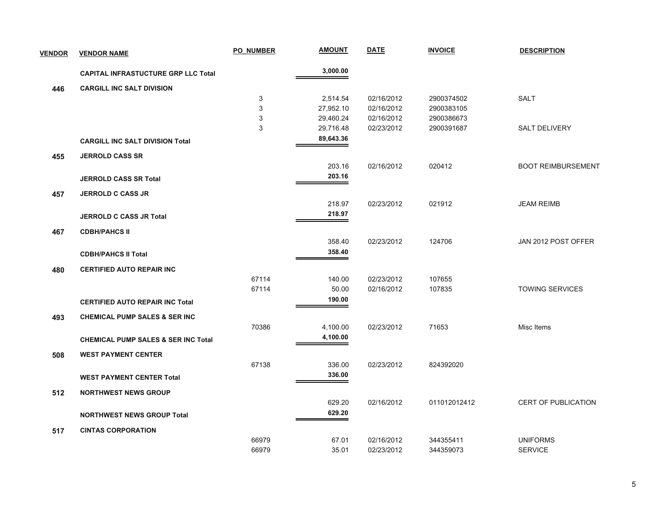| <b>VENDOR</b> | <b>VENDOR NAME</b>                             | <b>PO NUMBER</b> | <b>AMOUNT</b> | <b>DATE</b> | <b>INVOICE</b> | <b>DESCRIPTION</b>         |
|---------------|------------------------------------------------|------------------|---------------|-------------|----------------|----------------------------|
|               | <b>CAPITAL INFRASTUCTURE GRP LLC Total</b>     |                  | 3,000.00      |             |                |                            |
| 446           | <b>CARGILL INC SALT DIVISION</b>               |                  |               |             |                |                            |
|               |                                                | 3                | 2,514.54      | 02/16/2012  | 2900374502     | <b>SALT</b>                |
|               |                                                | $\mathsf 3$      | 27,952.10     | 02/16/2012  | 2900383105     |                            |
|               |                                                | 3                | 29,460.24     | 02/16/2012  | 2900386673     |                            |
|               |                                                | 3                | 29,716.48     | 02/23/2012  | 2900391687     | <b>SALT DELIVERY</b>       |
|               | <b>CARGILL INC SALT DIVISION Total</b>         |                  | 89,643.36     |             |                |                            |
| 455           | <b>JERROLD CASS SR</b>                         |                  |               |             |                |                            |
|               |                                                |                  | 203.16        | 02/16/2012  | 020412         | <b>BOOT REIMBURSEMENT</b>  |
|               | <b>JERROLD CASS SR Total</b>                   |                  | 203.16        |             |                |                            |
| 457           | <b>JERROLD C CASS JR</b>                       |                  |               |             |                |                            |
|               |                                                |                  | 218.97        | 02/23/2012  | 021912         | <b>JEAM REIMB</b>          |
|               | <b>JERROLD C CASS JR Total</b>                 |                  | 218.97        |             |                |                            |
| 467           | <b>CDBH/PAHCS II</b>                           |                  |               |             |                |                            |
|               |                                                |                  | 358.40        | 02/23/2012  | 124706         | JAN 2012 POST OFFER        |
|               | <b>CDBH/PAHCS II Total</b>                     |                  | 358.40        |             |                |                            |
| 480           | <b>CERTIFIED AUTO REPAIR INC</b>               |                  |               |             |                |                            |
|               |                                                | 67114            | 140.00        | 02/23/2012  | 107655         |                            |
|               |                                                | 67114            | 50.00         | 02/16/2012  | 107835         | <b>TOWING SERVICES</b>     |
|               | <b>CERTIFIED AUTO REPAIR INC Total</b>         |                  | 190.00        |             |                |                            |
| 493           | <b>CHEMICAL PUMP SALES &amp; SER INC</b>       |                  |               |             |                |                            |
|               |                                                | 70386            | 4,100.00      | 02/23/2012  | 71653          | Misc Items                 |
|               | <b>CHEMICAL PUMP SALES &amp; SER INC Total</b> |                  | 4,100.00      |             |                |                            |
| 508           | <b>WEST PAYMENT CENTER</b>                     |                  |               |             |                |                            |
|               |                                                | 67138            | 336.00        | 02/23/2012  | 824392020      |                            |
|               | <b>WEST PAYMENT CENTER Total</b>               |                  | 336.00        |             |                |                            |
| 512           | <b>NORTHWEST NEWS GROUP</b>                    |                  |               |             |                |                            |
|               |                                                |                  | 629.20        | 02/16/2012  | 011012012412   | <b>CERT OF PUBLICATION</b> |
|               | <b>NORTHWEST NEWS GROUP Total</b>              |                  | 629.20        |             |                |                            |
| 517           | <b>CINTAS CORPORATION</b>                      |                  |               |             |                |                            |
|               |                                                | 66979            | 67.01         | 02/16/2012  | 344355411      | <b>UNIFORMS</b>            |
|               |                                                | 66979            | 35.01         | 02/23/2012  | 344359073      | <b>SERVICE</b>             |
|               |                                                |                  |               |             |                |                            |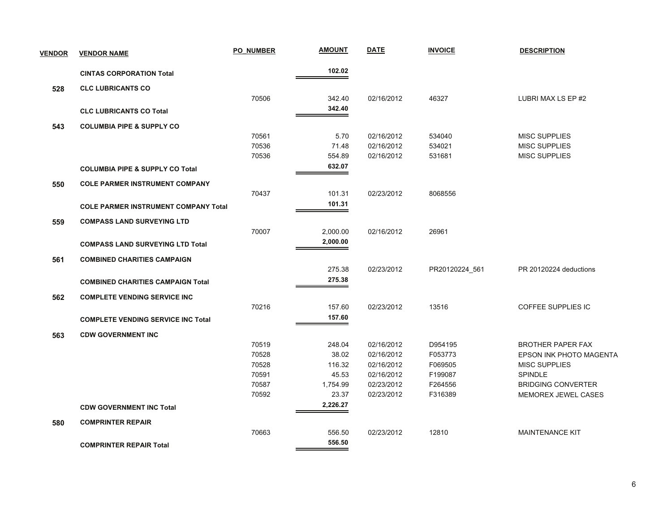| <b>VENDOR</b> | <b>VENDOR NAME</b>                          | <b>PO NUMBER</b> | <b>AMOUNT</b> | <b>DATE</b> | <b>INVOICE</b> | <b>DESCRIPTION</b>             |
|---------------|---------------------------------------------|------------------|---------------|-------------|----------------|--------------------------------|
|               | <b>CINTAS CORPORATION Total</b>             |                  | 102.02        |             |                |                                |
| 528           | <b>CLC LUBRICANTS CO</b>                    |                  |               |             |                |                                |
|               |                                             | 70506            | 342.40        | 02/16/2012  | 46327          | LUBRI MAX LS EP #2             |
|               | <b>CLC LUBRICANTS CO Total</b>              |                  | 342.40        |             |                |                                |
| 543           | <b>COLUMBIA PIPE &amp; SUPPLY CO</b>        |                  |               |             |                |                                |
|               |                                             | 70561            | 5.70          | 02/16/2012  | 534040         | <b>MISC SUPPLIES</b>           |
|               |                                             | 70536            | 71.48         | 02/16/2012  | 534021         | <b>MISC SUPPLIES</b>           |
|               |                                             | 70536            | 554.89        | 02/16/2012  | 531681         | MISC SUPPLIES                  |
|               | <b>COLUMBIA PIPE &amp; SUPPLY CO Total</b>  |                  | 632.07        |             |                |                                |
| 550           | <b>COLE PARMER INSTRUMENT COMPANY</b>       |                  |               |             |                |                                |
|               |                                             | 70437            | 101.31        | 02/23/2012  | 8068556        |                                |
|               | <b>COLE PARMER INSTRUMENT COMPANY Total</b> |                  | 101.31        |             |                |                                |
| 559           | <b>COMPASS LAND SURVEYING LTD</b>           |                  |               |             |                |                                |
|               |                                             | 70007            | 2,000.00      | 02/16/2012  | 26961          |                                |
|               | <b>COMPASS LAND SURVEYING LTD Total</b>     |                  | 2,000.00      |             |                |                                |
| 561           | <b>COMBINED CHARITIES CAMPAIGN</b>          |                  |               |             |                |                                |
|               |                                             |                  | 275.38        | 02/23/2012  | PR20120224_561 | PR 20120224 deductions         |
|               | <b>COMBINED CHARITIES CAMPAIGN Total</b>    |                  | 275.38        |             |                |                                |
| 562           | <b>COMPLETE VENDING SERVICE INC</b>         |                  |               |             |                |                                |
|               |                                             | 70216            | 157.60        | 02/23/2012  | 13516          | <b>COFFEE SUPPLIES IC</b>      |
|               | <b>COMPLETE VENDING SERVICE INC Total</b>   |                  | 157.60        |             |                |                                |
| 563           | <b>CDW GOVERNMENT INC</b>                   |                  |               |             |                |                                |
|               |                                             | 70519            | 248.04        | 02/16/2012  | D954195        | <b>BROTHER PAPER FAX</b>       |
|               |                                             | 70528            | 38.02         | 02/16/2012  | F053773        | <b>EPSON INK PHOTO MAGENTA</b> |
|               |                                             | 70528            | 116.32        | 02/16/2012  | F069505        | <b>MISC SUPPLIES</b>           |
|               |                                             | 70591            | 45.53         | 02/16/2012  | F199087        | <b>SPINDLE</b>                 |
|               |                                             | 70587            | 1,754.99      | 02/23/2012  | F264556        | <b>BRIDGING CONVERTER</b>      |
|               |                                             | 70592            | 23.37         | 02/23/2012  | F316389        | MEMOREX JEWEL CASES            |
|               | <b>CDW GOVERNMENT INC Total</b>             |                  | 2,226.27      |             |                |                                |
| 580           | <b>COMPRINTER REPAIR</b>                    |                  |               |             |                |                                |
|               |                                             | 70663            | 556.50        | 02/23/2012  | 12810          | <b>MAINTENANCE KIT</b>         |
|               | <b>COMPRINTER REPAIR Total</b>              |                  | 556.50        |             |                |                                |
|               |                                             |                  |               |             |                |                                |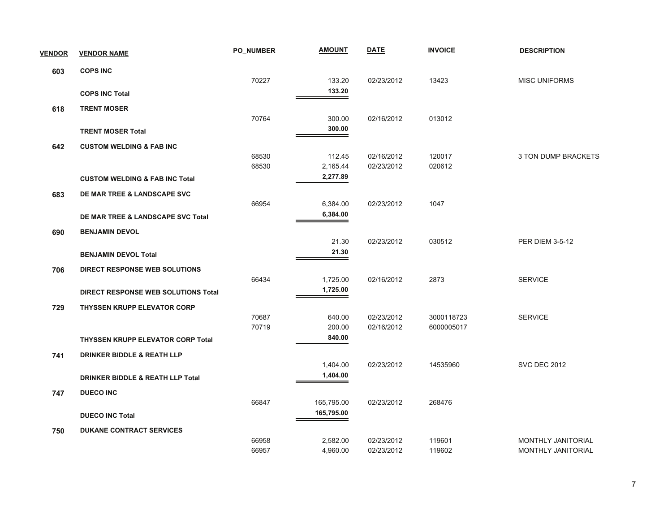| <b>VENDOR</b> | <b>VENDOR NAME</b>                          | <b>PO NUMBER</b> | <b>AMOUNT</b> | <b>DATE</b> | <b>INVOICE</b> | <b>DESCRIPTION</b>     |
|---------------|---------------------------------------------|------------------|---------------|-------------|----------------|------------------------|
| 603           | <b>COPS INC</b>                             |                  |               |             |                |                        |
|               |                                             | 70227            | 133.20        | 02/23/2012  | 13423          | <b>MISC UNIFORMS</b>   |
|               | <b>COPS INC Total</b>                       |                  | 133.20        |             |                |                        |
| 618           | <b>TRENT MOSER</b>                          |                  |               |             |                |                        |
|               |                                             | 70764            | 300.00        | 02/16/2012  | 013012         |                        |
|               | <b>TRENT MOSER Total</b>                    |                  | 300.00        |             |                |                        |
| 642           | <b>CUSTOM WELDING &amp; FAB INC</b>         |                  |               |             |                |                        |
|               |                                             | 68530            | 112.45        | 02/16/2012  | 120017         | 3 TON DUMP BRACKETS    |
|               |                                             | 68530            | 2,165.44      | 02/23/2012  | 020612         |                        |
|               | <b>CUSTOM WELDING &amp; FAB INC Total</b>   |                  | 2,277.89      |             |                |                        |
| 683           | DE MAR TREE & LANDSCAPE SVC                 |                  |               |             |                |                        |
|               |                                             | 66954            | 6,384.00      | 02/23/2012  | 1047           |                        |
|               | DE MAR TREE & LANDSCAPE SVC Total           |                  | 6,384.00      |             |                |                        |
| 690           | <b>BENJAMIN DEVOL</b>                       |                  |               |             |                |                        |
|               |                                             |                  | 21.30         | 02/23/2012  | 030512         | <b>PER DIEM 3-5-12</b> |
|               | <b>BENJAMIN DEVOL Total</b>                 |                  | 21.30         |             |                |                        |
| 706           | DIRECT RESPONSE WEB SOLUTIONS               |                  |               |             |                |                        |
|               |                                             | 66434            | 1,725.00      | 02/16/2012  | 2873           | <b>SERVICE</b>         |
|               | DIRECT RESPONSE WEB SOLUTIONS Total         |                  | 1,725.00      |             |                |                        |
| 729           | <b>THYSSEN KRUPP ELEVATOR CORP</b>          |                  |               |             |                |                        |
|               |                                             | 70687            | 640.00        | 02/23/2012  | 3000118723     | <b>SERVICE</b>         |
|               |                                             | 70719            | 200.00        | 02/16/2012  | 6000005017     |                        |
|               | <b>THYSSEN KRUPP ELEVATOR CORP Total</b>    |                  | 840.00        |             |                |                        |
| 741           | <b>DRINKER BIDDLE &amp; REATH LLP</b>       |                  |               |             |                |                        |
|               |                                             |                  | 1,404.00      | 02/23/2012  | 14535960       | <b>SVC DEC 2012</b>    |
|               | <b>DRINKER BIDDLE &amp; REATH LLP Total</b> |                  | 1,404.00      |             |                |                        |
| 747           | <b>DUECO INC</b>                            |                  |               |             |                |                        |
|               |                                             | 66847            | 165,795.00    | 02/23/2012  | 268476         |                        |
|               | <b>DUECO INC Total</b>                      |                  | 165,795.00    |             |                |                        |
| 750           | <b>DUKANE CONTRACT SERVICES</b>             |                  |               |             |                |                        |
|               |                                             | 66958            | 2,582.00      | 02/23/2012  | 119601         | MONTHLY JANITORIAL     |
|               |                                             | 66957            | 4,960.00      | 02/23/2012  | 119602         | MONTHLY JANITORIAL     |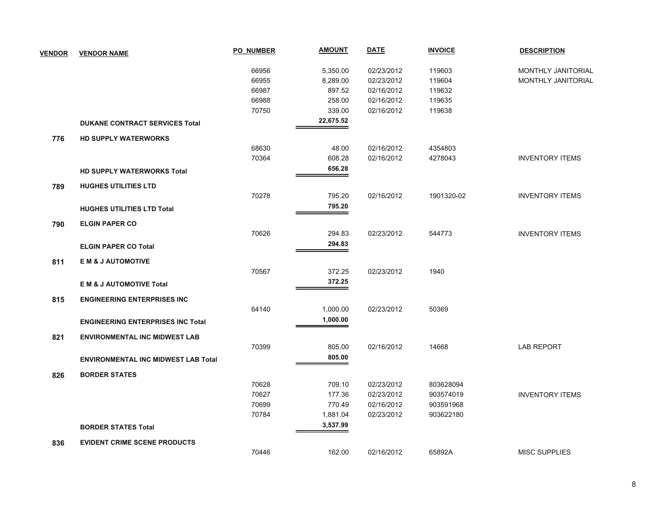| <b>VENDOR</b> | <b>VENDOR NAME</b>                         | <b>PO NUMBER</b> | <b>AMOUNT</b> | DATE       | <b>INVOICE</b> | <b>DESCRIPTION</b>        |
|---------------|--------------------------------------------|------------------|---------------|------------|----------------|---------------------------|
|               |                                            | 66956            | 5,350.00      | 02/23/2012 | 119603         | <b>MONTHLY JANITORIAL</b> |
|               |                                            | 66955            | 8,289.00      | 02/23/2012 | 119604         | MONTHLY JANITORIAL        |
|               |                                            | 66987            | 897.52        | 02/16/2012 | 119632         |                           |
|               |                                            | 66988            | 258.00        | 02/16/2012 | 119635         |                           |
|               |                                            | 70750            | 339.00        | 02/16/2012 | 119638         |                           |
|               | <b>DUKANE CONTRACT SERVICES Total</b>      |                  | 22,675.52     |            |                |                           |
| 776           | <b>HD SUPPLY WATERWORKS</b>                |                  |               |            |                |                           |
|               |                                            | 68630            | 48.00         | 02/16/2012 | 4354803        |                           |
|               |                                            | 70364            | 608.28        | 02/16/2012 | 4278043        | <b>INVENTORY ITEMS</b>    |
|               | <b>HD SUPPLY WATERWORKS Total</b>          |                  | 656.28        |            |                |                           |
| 789           | <b>HUGHES UTILITIES LTD</b>                |                  |               |            |                |                           |
|               |                                            | 70278            | 795.20        | 02/16/2012 | 1901320-02     | <b>INVENTORY ITEMS</b>    |
|               | <b>HUGHES UTILITIES LTD Total</b>          |                  | 795.20        |            |                |                           |
| 790           | <b>ELGIN PAPER CO</b>                      |                  |               |            |                |                           |
|               |                                            | 70626            | 294.83        | 02/23/2012 | 544773         | <b>INVENTORY ITEMS</b>    |
|               | <b>ELGIN PAPER CO Total</b>                |                  | 294.83        |            |                |                           |
| 811           | E M & J AUTOMOTIVE                         |                  |               |            |                |                           |
|               |                                            | 70567            | 372.25        | 02/23/2012 | 1940           |                           |
|               | <b>EM &amp; J AUTOMOTIVE Total</b>         |                  | 372.25        |            |                |                           |
| 815           | <b>ENGINEERING ENTERPRISES INC</b>         |                  |               |            |                |                           |
|               |                                            | 64140            | 1,000.00      | 02/23/2012 | 50369          |                           |
|               | <b>ENGINEERING ENTERPRISES INC Total</b>   |                  | 1,000.00      |            |                |                           |
| 821           | <b>ENVIRONMENTAL INC MIDWEST LAB</b>       |                  |               |            |                |                           |
|               |                                            | 70399            | 805.00        | 02/16/2012 | 14668          | <b>LAB REPORT</b>         |
|               | <b>ENVIRONMENTAL INC MIDWEST LAB Total</b> |                  | 805.00        |            |                |                           |
| 826           | <b>BORDER STATES</b>                       |                  |               |            |                |                           |
|               |                                            | 70628            | 709.10        | 02/23/2012 | 803628094      |                           |
|               |                                            | 70627            | 177.36        | 02/23/2012 | 903574019      | <b>INVENTORY ITEMS</b>    |
|               |                                            | 70699            | 770.49        | 02/16/2012 | 903591968      |                           |
|               |                                            | 70784            | 1,881.04      | 02/23/2012 | 903622180      |                           |
|               | <b>BORDER STATES Total</b>                 |                  | 3,537.99      |            |                |                           |
| 836           | <b>EVIDENT CRIME SCENE PRODUCTS</b>        |                  |               |            |                |                           |
|               |                                            | 70446            | 162.00        | 02/16/2012 | 65892A         | <b>MISC SUPPLIES</b>      |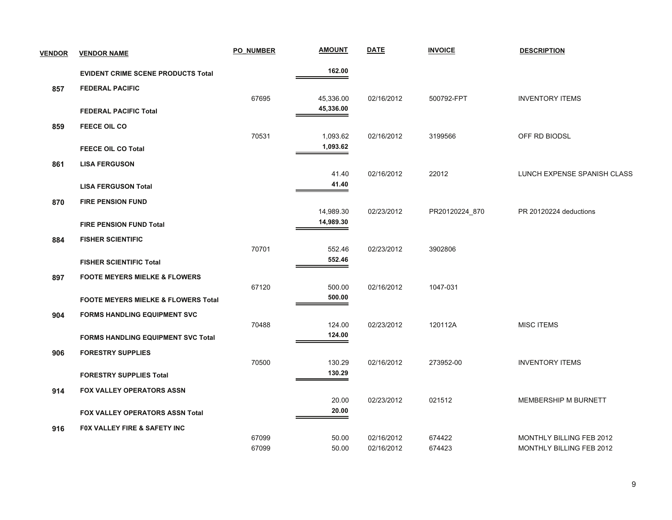| <b>VENDOR</b> | <b>VENDOR NAME</b>                             | <b>PO NUMBER</b> | <b>AMOUNT</b>          | <b>DATE</b> | <b>INVOICE</b> | <b>DESCRIPTION</b>          |
|---------------|------------------------------------------------|------------------|------------------------|-------------|----------------|-----------------------------|
|               | <b>EVIDENT CRIME SCENE PRODUCTS Total</b>      |                  | 162.00                 |             |                |                             |
| 857           | <b>FEDERAL PACIFIC</b>                         |                  |                        |             |                |                             |
|               | <b>FEDERAL PACIFIC Total</b>                   | 67695            | 45,336.00<br>45,336.00 | 02/16/2012  | 500792-FPT     | <b>INVENTORY ITEMS</b>      |
| 859           | <b>FEECE OIL CO</b>                            |                  |                        |             |                |                             |
|               |                                                | 70531            | 1,093.62               | 02/16/2012  | 3199566        | OFF RD BIODSL               |
|               | <b>FEECE OIL CO Total</b>                      |                  | 1,093.62               |             |                |                             |
| 861           | <b>LISA FERGUSON</b>                           |                  |                        |             |                |                             |
|               |                                                |                  | 41.40                  | 02/16/2012  | 22012          | LUNCH EXPENSE SPANISH CLASS |
|               | <b>LISA FERGUSON Total</b>                     |                  | 41.40                  |             |                |                             |
| 870           | <b>FIRE PENSION FUND</b>                       |                  |                        |             |                |                             |
|               |                                                |                  | 14,989.30<br>14,989.30 | 02/23/2012  | PR20120224_870 | PR 20120224 deductions      |
|               | <b>FIRE PENSION FUND Total</b>                 |                  |                        |             |                |                             |
| 884           | <b>FISHER SCIENTIFIC</b>                       | 70701            |                        |             |                |                             |
|               |                                                |                  | 552.46<br>552.46       | 02/23/2012  | 3902806        |                             |
|               | <b>FISHER SCIENTIFIC Total</b>                 |                  |                        |             |                |                             |
| 897           | <b>FOOTE MEYERS MIELKE &amp; FLOWERS</b>       | 67120            | 500.00                 | 02/16/2012  | 1047-031       |                             |
|               | <b>FOOTE MEYERS MIELKE &amp; FLOWERS Total</b> |                  | 500.00                 |             |                |                             |
|               |                                                |                  |                        |             |                |                             |
| 904           | <b>FORMS HANDLING EQUIPMENT SVC</b>            | 70488            | 124.00                 | 02/23/2012  | 120112A        | <b>MISC ITEMS</b>           |
|               | <b>FORMS HANDLING EQUIPMENT SVC Total</b>      |                  | 124.00                 |             |                |                             |
| 906           | <b>FORESTRY SUPPLIES</b>                       |                  |                        |             |                |                             |
|               |                                                | 70500            | 130.29                 | 02/16/2012  | 273952-00      | <b>INVENTORY ITEMS</b>      |
|               | <b>FORESTRY SUPPLIES Total</b>                 |                  | 130.29                 |             |                |                             |
| 914           | <b>FOX VALLEY OPERATORS ASSN</b>               |                  |                        |             |                |                             |
|               |                                                |                  | 20.00                  | 02/23/2012  | 021512         | MEMBERSHIP M BURNETT        |
|               | FOX VALLEY OPERATORS ASSN Total                |                  | 20.00                  |             |                |                             |
| 916           | FOX VALLEY FIRE & SAFETY INC                   |                  |                        |             |                |                             |
|               |                                                | 67099            | 50.00                  | 02/16/2012  | 674422         | MONTHLY BILLING FEB 2012    |
|               |                                                | 67099            | 50.00                  | 02/16/2012  | 674423         | MONTHLY BILLING FEB 2012    |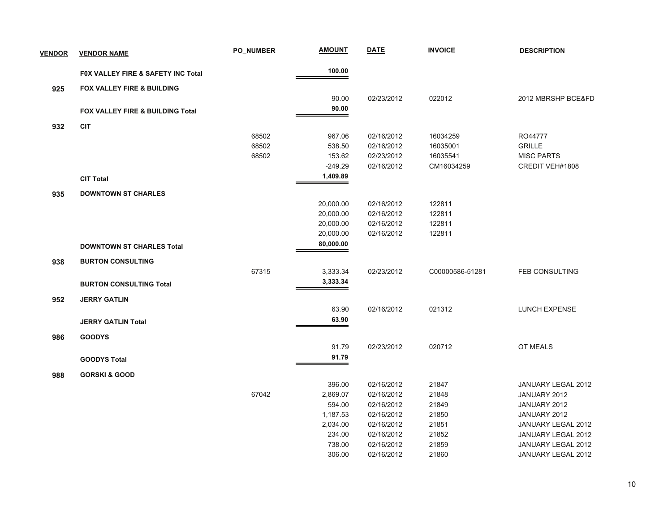| <b>VENDOR</b> | <b>VENDOR NAME</b>                    | PO NUMBER | <b>AMOUNT</b> | <b>DATE</b> | <b>INVOICE</b>  | <b>DESCRIPTION</b>    |
|---------------|---------------------------------------|-----------|---------------|-------------|-----------------|-----------------------|
|               | FOX VALLEY FIRE & SAFETY INC Total    |           | 100.00        |             |                 |                       |
| 925           | <b>FOX VALLEY FIRE &amp; BUILDING</b> |           |               |             |                 |                       |
|               |                                       |           | 90.00         | 02/23/2012  | 022012          | 2012 MBRSHP BCE&FD    |
|               | FOX VALLEY FIRE & BUILDING Total      |           | 90.00         |             |                 |                       |
| 932           | <b>CIT</b>                            |           |               |             |                 |                       |
|               |                                       | 68502     | 967.06        | 02/16/2012  | 16034259        | RO44777               |
|               |                                       | 68502     | 538.50        | 02/16/2012  | 16035001        | <b>GRILLE</b>         |
|               |                                       | 68502     | 153.62        | 02/23/2012  | 16035541        | <b>MISC PARTS</b>     |
|               |                                       |           | $-249.29$     | 02/16/2012  | CM16034259      | CREDIT VEH#1808       |
|               | <b>CIT Total</b>                      |           | 1,409.89      |             |                 |                       |
| 935           | <b>DOWNTOWN ST CHARLES</b>            |           |               |             |                 |                       |
|               |                                       |           | 20,000.00     | 02/16/2012  | 122811          |                       |
|               |                                       |           | 20,000.00     | 02/16/2012  | 122811          |                       |
|               |                                       |           | 20,000.00     | 02/16/2012  | 122811          |                       |
|               |                                       |           | 20,000.00     | 02/16/2012  | 122811          |                       |
|               | <b>DOWNTOWN ST CHARLES Total</b>      |           | 80,000.00     |             |                 |                       |
| 938           | <b>BURTON CONSULTING</b>              |           |               |             |                 |                       |
|               |                                       | 67315     | 3,333.34      | 02/23/2012  | C00000586-51281 | <b>FEB CONSULTING</b> |
|               | <b>BURTON CONSULTING Total</b>        |           | 3,333.34      |             |                 |                       |
| 952           | <b>JERRY GATLIN</b>                   |           |               |             |                 |                       |
|               |                                       |           | 63.90         | 02/16/2012  | 021312          | <b>LUNCH EXPENSE</b>  |
|               | <b>JERRY GATLIN Total</b>             |           | 63.90         |             |                 |                       |
| 986           | <b>GOODYS</b>                         |           |               |             |                 |                       |
|               |                                       |           | 91.79         | 02/23/2012  | 020712          | <b>OT MEALS</b>       |
|               | <b>GOODYS Total</b>                   |           | 91.79         |             |                 |                       |
| 988           | <b>GORSKI &amp; GOOD</b>              |           |               |             |                 |                       |
|               |                                       |           | 396.00        | 02/16/2012  | 21847           | JANUARY LEGAL 2012    |
|               |                                       | 67042     | 2,869.07      | 02/16/2012  | 21848           | JANUARY 2012          |
|               |                                       |           | 594.00        | 02/16/2012  | 21849           | JANUARY 2012          |
|               |                                       |           | 1,187.53      | 02/16/2012  | 21850           | JANUARY 2012          |
|               |                                       |           | 2,034.00      | 02/16/2012  | 21851           | JANUARY LEGAL 2012    |
|               |                                       |           | 234.00        | 02/16/2012  | 21852           | JANUARY LEGAL 2012    |
|               |                                       |           | 738.00        | 02/16/2012  | 21859           | JANUARY LEGAL 2012    |
|               |                                       |           | 306.00        | 02/16/2012  | 21860           | JANUARY LEGAL 2012    |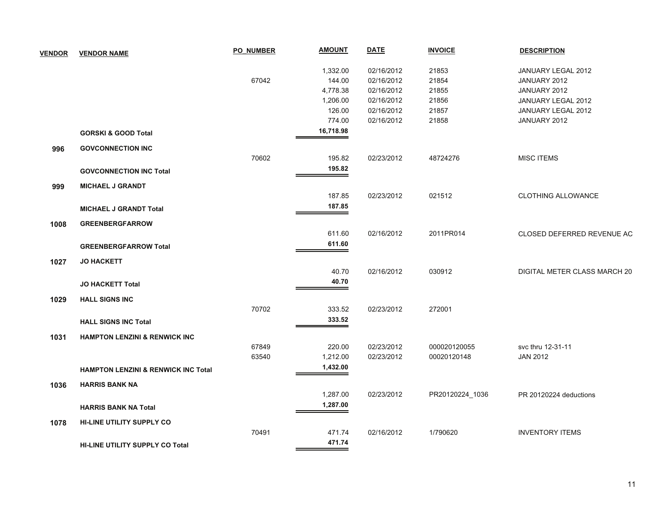| <b>VENDOR</b> | <b>VENDOR NAME</b>                             | <b>PO NUMBER</b> | <b>AMOUNT</b> | <b>DATE</b> | <b>INVOICE</b>  | <b>DESCRIPTION</b>           |
|---------------|------------------------------------------------|------------------|---------------|-------------|-----------------|------------------------------|
|               |                                                |                  | 1,332.00      | 02/16/2012  | 21853           | JANUARY LEGAL 2012           |
|               |                                                | 67042            | 144.00        | 02/16/2012  | 21854           | JANUARY 2012                 |
|               |                                                |                  | 4,778.38      | 02/16/2012  | 21855           | JANUARY 2012                 |
|               |                                                |                  | 1,206.00      | 02/16/2012  | 21856           | JANUARY LEGAL 2012           |
|               |                                                |                  | 126.00        | 02/16/2012  | 21857           | JANUARY LEGAL 2012           |
|               |                                                |                  | 774.00        | 02/16/2012  | 21858           | JANUARY 2012                 |
|               | <b>GORSKI &amp; GOOD Total</b>                 |                  | 16,718.98     |             |                 |                              |
| 996           | <b>GOVCONNECTION INC</b>                       |                  |               |             |                 |                              |
|               |                                                | 70602            | 195.82        | 02/23/2012  | 48724276        | <b>MISC ITEMS</b>            |
|               | <b>GOVCONNECTION INC Total</b>                 |                  | 195.82        |             |                 |                              |
| 999           | <b>MICHAEL J GRANDT</b>                        |                  |               |             |                 |                              |
|               |                                                |                  | 187.85        | 02/23/2012  | 021512          | <b>CLOTHING ALLOWANCE</b>    |
|               | <b>MICHAEL J GRANDT Total</b>                  |                  | 187.85        |             |                 |                              |
|               |                                                |                  |               |             |                 |                              |
| 1008          | <b>GREENBERGFARROW</b>                         |                  |               |             |                 |                              |
|               |                                                |                  | 611.60        | 02/16/2012  | 2011PR014       | CLOSED DEFERRED REVENUE AC   |
|               | <b>GREENBERGFARROW Total</b>                   |                  | 611.60        |             |                 |                              |
| 1027          | <b>JO HACKETT</b>                              |                  |               |             |                 |                              |
|               |                                                |                  | 40.70         | 02/16/2012  | 030912          | DIGITAL METER CLASS MARCH 20 |
|               | <b>JO HACKETT Total</b>                        |                  | 40.70         |             |                 |                              |
|               |                                                |                  |               |             |                 |                              |
| 1029          | <b>HALL SIGNS INC</b>                          |                  |               |             |                 |                              |
|               |                                                | 70702            | 333.52        | 02/23/2012  | 272001          |                              |
|               | <b>HALL SIGNS INC Total</b>                    |                  | 333.52        |             |                 |                              |
| 1031          | <b>HAMPTON LENZINI &amp; RENWICK INC</b>       |                  |               |             |                 |                              |
|               |                                                | 67849            | 220.00        | 02/23/2012  | 000020120055    | svc thru 12-31-11            |
|               |                                                | 63540            | 1,212.00      | 02/23/2012  | 00020120148     | <b>JAN 2012</b>              |
|               | <b>HAMPTON LENZINI &amp; RENWICK INC Total</b> |                  | 1,432.00      |             |                 |                              |
| 1036          | <b>HARRIS BANK NA</b>                          |                  |               |             |                 |                              |
|               |                                                |                  | 1,287.00      | 02/23/2012  | PR20120224_1036 | PR 20120224 deductions       |
|               | <b>HARRIS BANK NA Total</b>                    |                  | 1,287.00      |             |                 |                              |
|               |                                                |                  |               |             |                 |                              |
| 1078          | <b>HI-LINE UTILITY SUPPLY CO</b>               | 70491            | 471.74        | 02/16/2012  | 1/790620        | <b>INVENTORY ITEMS</b>       |
|               |                                                |                  | 471.74        |             |                 |                              |
|               | <b>HI-LINE UTILITY SUPPLY CO Total</b>         |                  |               |             |                 |                              |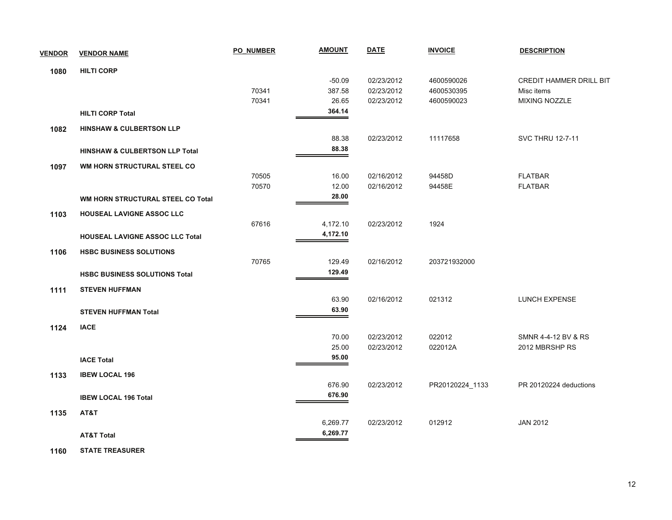| <b>VENDOR</b> | <b>VENDOR NAME</b>                        | <b>PO NUMBER</b> | <b>AMOUNT</b> | <b>DATE</b> | <b>INVOICE</b>  | <b>DESCRIPTION</b>             |
|---------------|-------------------------------------------|------------------|---------------|-------------|-----------------|--------------------------------|
| 1080          | <b>HILTI CORP</b>                         |                  |               |             |                 |                                |
|               |                                           |                  | $-50.09$      | 02/23/2012  | 4600590026      | <b>CREDIT HAMMER DRILL BIT</b> |
|               |                                           | 70341            | 387.58        | 02/23/2012  | 4600530395      | Misc items                     |
|               |                                           | 70341            | 26.65         | 02/23/2012  | 4600590023      | <b>MIXING NOZZLE</b>           |
|               | <b>HILTI CORP Total</b>                   |                  | 364.14        |             |                 |                                |
| 1082          | <b>HINSHAW &amp; CULBERTSON LLP</b>       |                  |               |             |                 |                                |
|               |                                           |                  | 88.38         | 02/23/2012  | 11117658        | <b>SVC THRU 12-7-11</b>        |
|               | <b>HINSHAW &amp; CULBERTSON LLP Total</b> |                  | 88.38         |             |                 |                                |
| 1097          | WM HORN STRUCTURAL STEEL CO               |                  |               |             |                 |                                |
|               |                                           | 70505            | 16.00         | 02/16/2012  | 94458D          | <b>FLATBAR</b>                 |
|               |                                           | 70570            | 12.00         | 02/16/2012  | 94458E          | <b>FLATBAR</b>                 |
|               | WM HORN STRUCTURAL STEEL CO Total         |                  | 28.00         |             |                 |                                |
| 1103          | HOUSEAL LAVIGNE ASSOC LLC                 |                  |               |             |                 |                                |
|               |                                           | 67616            | 4,172.10      | 02/23/2012  | 1924            |                                |
|               | <b>HOUSEAL LAVIGNE ASSOC LLC Total</b>    |                  | 4,172.10      |             |                 |                                |
| 1106          | <b>HSBC BUSINESS SOLUTIONS</b>            |                  |               |             |                 |                                |
|               |                                           | 70765            | 129.49        | 02/16/2012  | 203721932000    |                                |
|               | <b>HSBC BUSINESS SOLUTIONS Total</b>      |                  | 129.49        |             |                 |                                |
| 1111          | <b>STEVEN HUFFMAN</b>                     |                  |               |             |                 |                                |
|               |                                           |                  | 63.90         | 02/16/2012  | 021312          | <b>LUNCH EXPENSE</b>           |
|               | <b>STEVEN HUFFMAN Total</b>               |                  | 63.90         |             |                 |                                |
| 1124          | <b>IACE</b>                               |                  |               |             |                 |                                |
|               |                                           |                  | 70.00         | 02/23/2012  | 022012          | SMNR 4-4-12 BV & RS            |
|               |                                           |                  | 25.00         | 02/23/2012  | 022012A         | 2012 MBRSHP RS                 |
|               | <b>IACE Total</b>                         |                  | 95.00         |             |                 |                                |
| 1133          | <b>IBEW LOCAL 196</b>                     |                  |               |             |                 |                                |
|               |                                           |                  | 676.90        | 02/23/2012  | PR20120224_1133 | PR 20120224 deductions         |
|               | <b>IBEW LOCAL 196 Total</b>               |                  | 676.90        |             |                 |                                |
| 1135          | AT&T                                      |                  |               |             |                 |                                |
|               |                                           |                  | 6,269.77      | 02/23/2012  | 012912          | <b>JAN 2012</b>                |
|               | <b>AT&amp;T Total</b>                     |                  | 6,269.77      |             |                 |                                |
|               |                                           |                  |               |             |                 |                                |

 **1160STATE TREASURER**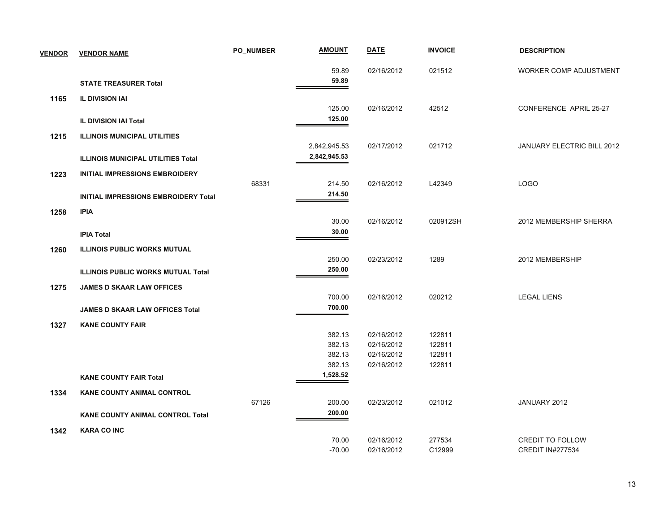| <b>VENDOR</b> | <b>VENDOR NAME</b>                        | <b>PO NUMBER</b> | <b>AMOUNT</b>    | <b>DATE</b>              | <b>INVOICE</b>   | <b>DESCRIPTION</b>                |
|---------------|-------------------------------------------|------------------|------------------|--------------------------|------------------|-----------------------------------|
|               |                                           |                  | 59.89            | 02/16/2012               | 021512           | <b>WORKER COMP ADJUSTMENT</b>     |
|               | <b>STATE TREASURER Total</b>              |                  | 59.89            |                          |                  |                                   |
| 1165          | <b>IL DIVISION IAI</b>                    |                  |                  |                          |                  |                                   |
|               |                                           |                  | 125.00           | 02/16/2012               | 42512            | CONFERENCE APRIL 25-27            |
|               | <b>IL DIVISION IAI Total</b>              |                  | 125.00           |                          |                  |                                   |
| 1215          | <b>ILLINOIS MUNICIPAL UTILITIES</b>       |                  |                  |                          |                  |                                   |
|               |                                           |                  | 2,842,945.53     | 02/17/2012               | 021712           | <b>JANUARY ELECTRIC BILL 2012</b> |
|               | <b>ILLINOIS MUNICIPAL UTILITIES Total</b> |                  | 2,842,945.53     |                          |                  |                                   |
| 1223          | <b>INITIAL IMPRESSIONS EMBROIDERY</b>     |                  |                  |                          |                  |                                   |
|               |                                           | 68331            | 214.50           | 02/16/2012               | L42349           | <b>LOGO</b>                       |
|               | INITIAL IMPRESSIONS EMBROIDERY Total      |                  | 214.50           |                          |                  |                                   |
| 1258          | <b>IPIA</b>                               |                  |                  |                          |                  |                                   |
|               |                                           |                  | 30.00            | 02/16/2012               | 020912SH         | 2012 MEMBERSHIP SHERRA            |
|               | <b>IPIA Total</b>                         |                  | 30.00            |                          |                  |                                   |
| 1260          | <b>ILLINOIS PUBLIC WORKS MUTUAL</b>       |                  |                  |                          |                  |                                   |
|               |                                           |                  | 250.00           | 02/23/2012               | 1289             | 2012 MEMBERSHIP                   |
|               | <b>ILLINOIS PUBLIC WORKS MUTUAL Total</b> |                  | 250.00           |                          |                  |                                   |
| 1275          | <b>JAMES D SKAAR LAW OFFICES</b>          |                  |                  |                          |                  |                                   |
|               |                                           |                  | 700.00           | 02/16/2012               | 020212           | <b>LEGAL LIENS</b>                |
|               | <b>JAMES D SKAAR LAW OFFICES Total</b>    |                  | 700.00           |                          |                  |                                   |
| 1327          | <b>KANE COUNTY FAIR</b>                   |                  |                  |                          |                  |                                   |
|               |                                           |                  | 382.13<br>382.13 | 02/16/2012<br>02/16/2012 | 122811<br>122811 |                                   |
|               |                                           |                  | 382.13           | 02/16/2012               | 122811           |                                   |
|               |                                           |                  | 382.13           | 02/16/2012               | 122811           |                                   |
|               | <b>KANE COUNTY FAIR Total</b>             |                  | 1,528.52         |                          |                  |                                   |
| 1334          | <b>KANE COUNTY ANIMAL CONTROL</b>         |                  |                  |                          |                  |                                   |
|               |                                           | 67126            | 200.00           | 02/23/2012               | 021012           | JANUARY 2012                      |
|               | <b>KANE COUNTY ANIMAL CONTROL Total</b>   |                  | 200.00           |                          |                  |                                   |
| 1342          | <b>KARA CO INC</b>                        |                  |                  |                          |                  |                                   |
|               |                                           |                  | 70.00            | 02/16/2012               | 277534           | <b>CREDIT TO FOLLOW</b>           |
|               |                                           |                  | $-70.00$         | 02/16/2012               | C12999           | <b>CREDIT IN#277534</b>           |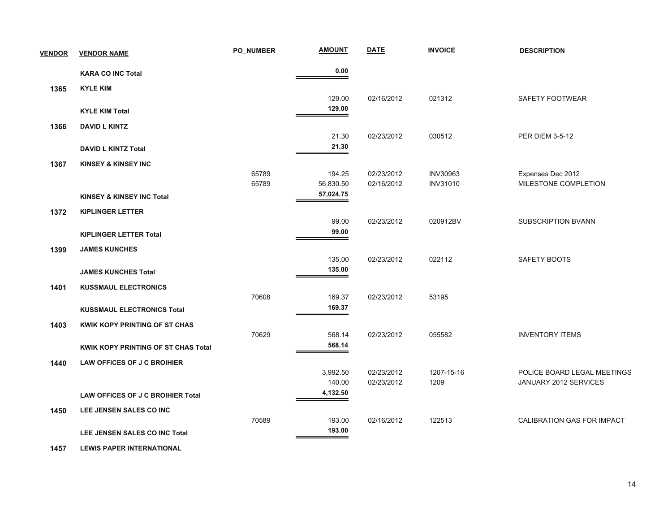| <b>VENDOR</b> | <b>VENDOR NAME</b>                       | <b>PO NUMBER</b> | <b>AMOUNT</b>       | <b>DATE</b>              | <b>INVOICE</b>                     | <b>DESCRIPTION</b>                        |
|---------------|------------------------------------------|------------------|---------------------|--------------------------|------------------------------------|-------------------------------------------|
|               | <b>KARA CO INC Total</b>                 |                  | 0.00                |                          |                                    |                                           |
| 1365          | <b>KYLE KIM</b>                          |                  |                     |                          |                                    |                                           |
|               |                                          |                  | 129.00              | 02/16/2012               | 021312                             | SAFETY FOOTWEAR                           |
|               | <b>KYLE KIM Total</b>                    |                  | 129.00              |                          |                                    |                                           |
| 1366          | <b>DAVID L KINTZ</b>                     |                  |                     |                          |                                    |                                           |
|               |                                          |                  | 21.30               | 02/23/2012               | 030512                             | <b>PER DIEM 3-5-12</b>                    |
|               | <b>DAVID L KINTZ Total</b>               |                  | 21.30               |                          |                                    |                                           |
| 1367          | <b>KINSEY &amp; KINSEY INC</b>           |                  |                     |                          |                                    |                                           |
|               |                                          | 65789<br>65789   | 194.25<br>56,830.50 | 02/23/2012<br>02/16/2012 | <b>INV30963</b><br><b>INV31010</b> | Expenses Dec 2012<br>MILESTONE COMPLETION |
|               | <b>KINSEY &amp; KINSEY INC Total</b>     |                  | 57,024.75           |                          |                                    |                                           |
| 1372          | <b>KIPLINGER LETTER</b>                  |                  |                     |                          |                                    |                                           |
|               |                                          |                  | 99.00               | 02/23/2012               | 020912BV                           | SUBSCRIPTION BVANN                        |
|               | <b>KIPLINGER LETTER Total</b>            |                  | 99.00               |                          |                                    |                                           |
| 1399          | <b>JAMES KUNCHES</b>                     |                  |                     |                          |                                    |                                           |
|               |                                          |                  | 135.00              | 02/23/2012               | 022112                             | SAFETY BOOTS                              |
|               | <b>JAMES KUNCHES Total</b>               |                  | 135.00              |                          |                                    |                                           |
| 1401          | <b>KUSSMAUL ELECTRONICS</b>              |                  |                     |                          |                                    |                                           |
|               |                                          | 70608            | 169.37              | 02/23/2012               | 53195                              |                                           |
|               | <b>KUSSMAUL ELECTRONICS Total</b>        |                  | 169.37              |                          |                                    |                                           |
| 1403          | KWIK KOPY PRINTING OF ST CHAS            |                  |                     |                          |                                    |                                           |
|               |                                          | 70629            | 568.14<br>568.14    | 02/23/2012               | 055582                             | <b>INVENTORY ITEMS</b>                    |
|               | KWIK KOPY PRINTING OF ST CHAS Total      |                  |                     |                          |                                    |                                           |
| 1440          | LAW OFFICES OF J C BROIHIER              |                  | 3,992.50            | 02/23/2012               | 1207-15-16                         | POLICE BOARD LEGAL MEETINGS               |
|               |                                          |                  | 140.00              | 02/23/2012               | 1209                               | JANUARY 2012 SERVICES                     |
|               | <b>LAW OFFICES OF J C BROIHIER Total</b> |                  | 4,132.50            |                          |                                    |                                           |
| 1450          | LEE JENSEN SALES CO INC                  |                  |                     |                          |                                    |                                           |
|               |                                          | 70589            | 193.00              | 02/16/2012               | 122513                             | CALIBRATION GAS FOR IMPACT                |
|               | LEE JENSEN SALES CO INC Total            |                  | 193.00              |                          |                                    |                                           |
|               |                                          |                  |                     |                          |                                    |                                           |

 **1457LEWIS PAPER INTERNATIONAL**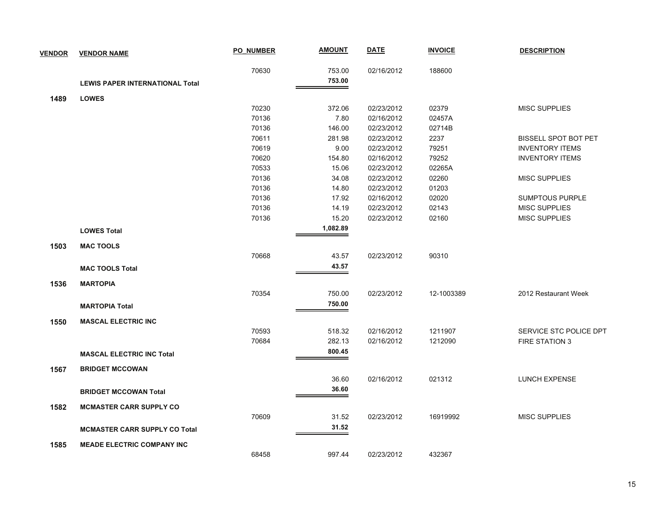| <b>VENDOR</b> | <b>VENDOR NAME</b>                     | <b>PO NUMBER</b> | <b>AMOUNT</b>    | <b>DATE</b> | <b>INVOICE</b>     | <b>DESCRIPTION</b>          |
|---------------|----------------------------------------|------------------|------------------|-------------|--------------------|-----------------------------|
|               |                                        | 70630            | 753.00           | 02/16/2012  | 188600             |                             |
|               | <b>LEWIS PAPER INTERNATIONAL Total</b> |                  | 753.00           |             |                    |                             |
| 1489          | <b>LOWES</b>                           |                  |                  |             |                    |                             |
|               |                                        | 70230            | 372.06           | 02/23/2012  | 02379              | <b>MISC SUPPLIES</b>        |
|               |                                        | 70136            | 7.80             | 02/16/2012  | 02457A             |                             |
|               |                                        | 70136            | 146.00           | 02/23/2012  | 02714B             |                             |
|               |                                        | 70611            | 281.98           | 02/23/2012  | 2237               | <b>BISSELL SPOT BOT PET</b> |
|               |                                        | 70619            | 9.00             | 02/23/2012  | 79251              | <b>INVENTORY ITEMS</b>      |
|               |                                        | 70620            | 154.80           | 02/16/2012  | 79252              | <b>INVENTORY ITEMS</b>      |
|               |                                        | 70533            | 15.06            | 02/23/2012  | 02265A             |                             |
|               |                                        | 70136            | 34.08            | 02/23/2012  | 02260              | <b>MISC SUPPLIES</b>        |
|               |                                        | 70136            | 14.80            | 02/23/2012  | 01203              |                             |
|               |                                        | 70136            | 17.92            | 02/16/2012  | 02020              | <b>SUMPTOUS PURPLE</b>      |
|               |                                        | 70136            | 14.19            | 02/23/2012  | 02143              | <b>MISC SUPPLIES</b>        |
|               |                                        | 70136            | 15.20            | 02/23/2012  | 02160              | <b>MISC SUPPLIES</b>        |
|               | <b>LOWES Total</b>                     |                  | 1,082.89         |             |                    |                             |
| 1503          | <b>MAC TOOLS</b>                       |                  |                  |             |                    |                             |
|               |                                        | 70668            | 43.57            | 02/23/2012  | 90310              |                             |
|               | <b>MAC TOOLS Total</b>                 |                  | 43.57            |             |                    |                             |
| 1536          | <b>MARTOPIA</b>                        |                  |                  |             |                    |                             |
|               |                                        | 70354            | 750.00           | 02/23/2012  | 12-1003389         | 2012 Restaurant Week        |
|               | <b>MARTOPIA Total</b>                  |                  | 750.00           |             |                    |                             |
|               |                                        |                  |                  |             |                    |                             |
| 1550          | <b>MASCAL ELECTRIC INC</b>             | 70593            |                  | 02/16/2012  |                    | SERVICE STC POLICE DPT      |
|               |                                        | 70684            | 518.32<br>282.13 | 02/16/2012  | 1211907<br>1212090 | <b>FIRE STATION 3</b>       |
|               |                                        |                  | 800.45           |             |                    |                             |
|               | <b>MASCAL ELECTRIC INC Total</b>       |                  |                  |             |                    |                             |
| 1567          | <b>BRIDGET MCCOWAN</b>                 |                  |                  |             |                    |                             |
|               |                                        |                  | 36.60            | 02/16/2012  | 021312             | <b>LUNCH EXPENSE</b>        |
|               | <b>BRIDGET MCCOWAN Total</b>           |                  | 36.60            |             |                    |                             |
| 1582          | <b>MCMASTER CARR SUPPLY CO</b>         |                  |                  |             |                    |                             |
|               |                                        | 70609            | 31.52            | 02/23/2012  | 16919992           | <b>MISC SUPPLIES</b>        |
|               | <b>MCMASTER CARR SUPPLY CO Total</b>   |                  | 31.52            |             |                    |                             |
| 1585          | <b>MEADE ELECTRIC COMPANY INC</b>      |                  |                  |             |                    |                             |
|               |                                        | 68458            | 997.44           | 02/23/2012  | 432367             |                             |
|               |                                        |                  |                  |             |                    |                             |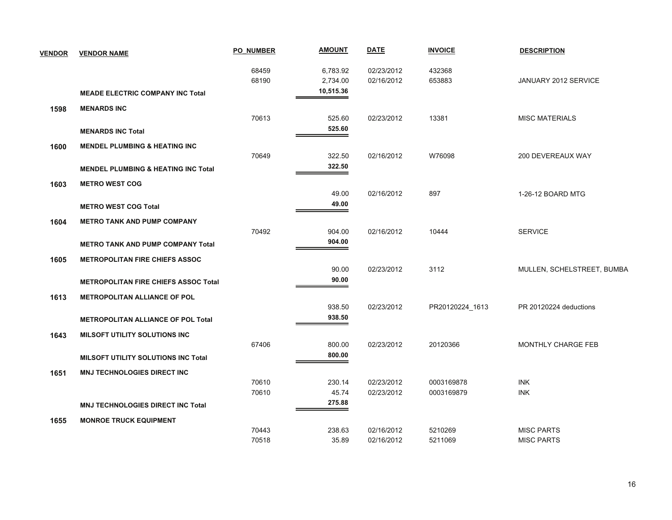| <b>VENDOR</b> | <b>VENDOR NAME</b>                             | <b>PO NUMBER</b> | <b>AMOUNT</b>        | <b>DATE</b>              | <b>INVOICE</b>           | <b>DESCRIPTION</b>         |
|---------------|------------------------------------------------|------------------|----------------------|--------------------------|--------------------------|----------------------------|
|               |                                                | 68459<br>68190   | 6,783.92<br>2,734.00 | 02/23/2012<br>02/16/2012 | 432368<br>653883         | JANUARY 2012 SERVICE       |
|               | <b>MEADE ELECTRIC COMPANY INC Total</b>        |                  | 10,515.36            |                          |                          |                            |
| 1598          | <b>MENARDS INC</b>                             |                  |                      |                          |                          |                            |
|               | <b>MENARDS INC Total</b>                       | 70613            | 525.60<br>525.60     | 02/23/2012               | 13381                    | <b>MISC MATERIALS</b>      |
|               |                                                |                  |                      |                          |                          |                            |
| 1600          | <b>MENDEL PLUMBING &amp; HEATING INC</b>       | 70649            | 322.50               | 02/16/2012               | W76098                   | 200 DEVEREAUX WAY          |
|               | <b>MENDEL PLUMBING &amp; HEATING INC Total</b> |                  | 322.50               |                          |                          |                            |
| 1603          | <b>METRO WEST COG</b>                          |                  |                      |                          |                          |                            |
|               |                                                |                  | 49.00                | 02/16/2012               | 897                      | 1-26-12 BOARD MTG          |
|               | <b>METRO WEST COG Total</b>                    |                  | 49.00                |                          |                          |                            |
| 1604          | <b>METRO TANK AND PUMP COMPANY</b>             |                  |                      |                          |                          |                            |
|               |                                                | 70492            | 904.00               | 02/16/2012               | 10444                    | <b>SERVICE</b>             |
|               | <b>METRO TANK AND PUMP COMPANY Total</b>       |                  | 904.00               |                          |                          |                            |
| 1605          | <b>METROPOLITAN FIRE CHIEFS ASSOC</b>          |                  |                      |                          |                          |                            |
|               |                                                |                  | 90.00                | 02/23/2012               | 3112                     | MULLEN, SCHELSTREET, BUMBA |
|               | <b>METROPOLITAN FIRE CHIEFS ASSOC Total</b>    |                  | 90.00                |                          |                          |                            |
| 1613          | <b>METROPOLITAN ALLIANCE OF POL</b>            |                  |                      |                          |                          |                            |
|               |                                                |                  | 938.50<br>938.50     | 02/23/2012               | PR20120224_1613          | PR 20120224 deductions     |
|               | <b>METROPOLITAN ALLIANCE OF POL Total</b>      |                  |                      |                          |                          |                            |
| 1643          | <b>MILSOFT UTILITY SOLUTIONS INC</b>           |                  |                      |                          |                          |                            |
|               |                                                | 67406            | 800.00<br>800.00     | 02/23/2012               | 20120366                 | MONTHLY CHARGE FEB         |
|               | <b>MILSOFT UTILITY SOLUTIONS INC Total</b>     |                  |                      |                          |                          |                            |
| 1651          | <b>MNJ TECHNOLOGIES DIRECT INC</b>             |                  |                      |                          |                          |                            |
|               |                                                | 70610<br>70610   | 230.14<br>45.74      | 02/23/2012<br>02/23/2012 | 0003169878<br>0003169879 | <b>INK</b><br><b>INK</b>   |
|               | <b>MNJ TECHNOLOGIES DIRECT INC Total</b>       |                  | 275.88               |                          |                          |                            |
|               |                                                |                  |                      |                          |                          |                            |
| 1655          | <b>MONROE TRUCK EQUIPMENT</b>                  | 70443            | 238.63               | 02/16/2012               | 5210269                  | <b>MISC PARTS</b>          |
|               |                                                | 70518            | 35.89                | 02/16/2012               | 5211069                  | <b>MISC PARTS</b>          |
|               |                                                |                  |                      |                          |                          |                            |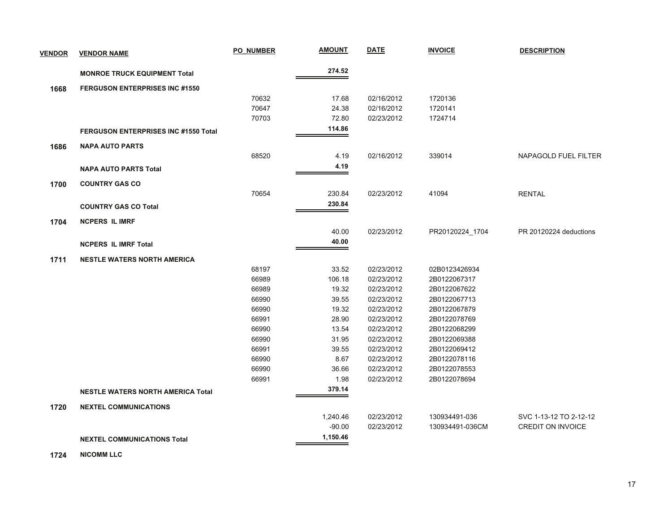| <b>VENDOR</b> | <b>VENDOR NAME</b>                          | <b>PO NUMBER</b> | <u>AMOUNT</u>        | <b>DATE</b>              | <b>INVOICE</b>               | <b>DESCRIPTION</b>       |
|---------------|---------------------------------------------|------------------|----------------------|--------------------------|------------------------------|--------------------------|
|               | <b>MONROE TRUCK EQUIPMENT Total</b>         |                  | 274.52               |                          |                              |                          |
| 1668          | <b>FERGUSON ENTERPRISES INC #1550</b>       |                  |                      |                          |                              |                          |
|               |                                             | 70632            | 17.68                | 02/16/2012               | 1720136                      |                          |
|               |                                             | 70647            | 24.38                | 02/16/2012               | 1720141                      |                          |
|               |                                             | 70703            | 72.80                | 02/23/2012               | 1724714                      |                          |
|               | <b>FERGUSON ENTERPRISES INC #1550 Total</b> |                  | 114.86               |                          |                              |                          |
| 1686          | <b>NAPA AUTO PARTS</b>                      |                  |                      |                          |                              |                          |
|               |                                             | 68520            | 4.19                 | 02/16/2012               | 339014                       | NAPAGOLD FUEL FILTER     |
|               | <b>NAPA AUTO PARTS Total</b>                |                  | 4.19                 |                          |                              |                          |
|               |                                             |                  |                      |                          |                              |                          |
| 1700          | <b>COUNTRY GAS CO</b>                       |                  |                      |                          |                              |                          |
|               |                                             | 70654            | 230.84               | 02/23/2012               | 41094                        | <b>RENTAL</b>            |
|               | <b>COUNTRY GAS CO Total</b>                 |                  | 230.84               |                          |                              |                          |
| 1704          | <b>NCPERS IL IMRF</b>                       |                  |                      |                          |                              |                          |
|               |                                             |                  | 40.00                | 02/23/2012               | PR20120224_1704              | PR 20120224 deductions   |
|               | <b>NCPERS IL IMRF Total</b>                 |                  | 40.00                |                          |                              |                          |
| 1711          | <b>NESTLE WATERS NORTH AMERICA</b>          |                  |                      |                          |                              |                          |
|               |                                             | 68197            | 33.52                | 02/23/2012               | 02B0123426934                |                          |
|               |                                             | 66989            | 106.18               | 02/23/2012               | 2B0122067317                 |                          |
|               |                                             | 66989            | 19.32                | 02/23/2012               | 2B0122067622                 |                          |
|               |                                             | 66990            | 39.55                | 02/23/2012               | 2B0122067713                 |                          |
|               |                                             | 66990            | 19.32                | 02/23/2012               | 2B0122067879                 |                          |
|               |                                             | 66991            | 28.90                | 02/23/2012               | 2B0122078769                 |                          |
|               |                                             | 66990            | 13.54                | 02/23/2012               | 2B0122068299                 |                          |
|               |                                             | 66990            | 31.95                | 02/23/2012               | 2B0122069388                 |                          |
|               |                                             | 66991            | 39.55                | 02/23/2012               | 2B0122069412                 |                          |
|               |                                             | 66990<br>66990   | 8.67<br>36.66        | 02/23/2012<br>02/23/2012 | 2B0122078116<br>2B0122078553 |                          |
|               |                                             | 66991            | 1.98                 | 02/23/2012               | 2B0122078694                 |                          |
|               | <b>NESTLE WATERS NORTH AMERICA Total</b>    |                  | 379.14               |                          |                              |                          |
|               |                                             |                  |                      |                          |                              |                          |
| 1720          | <b>NEXTEL COMMUNICATIONS</b>                |                  |                      |                          |                              |                          |
|               |                                             |                  | 1,240.46             | 02/23/2012               | 130934491-036                | SVC 1-13-12 TO 2-12-12   |
|               |                                             |                  | $-90.00$<br>1,150.46 | 02/23/2012               | 130934491-036CM              | <b>CREDIT ON INVOICE</b> |
|               | <b>NEXTEL COMMUNICATIONS Total</b>          |                  |                      |                          |                              |                          |

 **1724NICOMM LLC**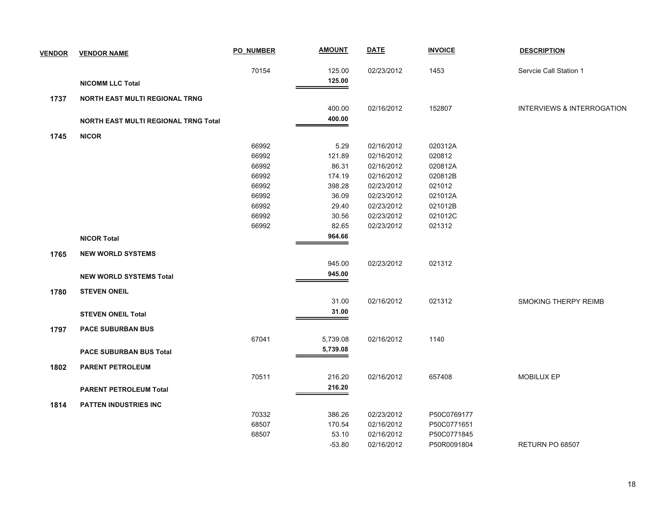| <b>VENDOR</b> | <b>VENDOR NAME</b>                          | <b>PO NUMBER</b> | <b>AMOUNT</b> | <b>DATE</b> | <b>INVOICE</b> | <b>DESCRIPTION</b>                    |
|---------------|---------------------------------------------|------------------|---------------|-------------|----------------|---------------------------------------|
|               |                                             | 70154            | 125.00        | 02/23/2012  | 1453           | Servcie Call Station 1                |
|               | <b>NICOMM LLC Total</b>                     |                  | 125.00        |             |                |                                       |
| 1737          | <b>NORTH EAST MULTI REGIONAL TRNG</b>       |                  |               |             |                |                                       |
|               |                                             |                  | 400.00        | 02/16/2012  | 152807         | <b>INTERVIEWS &amp; INTERROGATION</b> |
|               | <b>NORTH EAST MULTI REGIONAL TRNG Total</b> |                  | 400.00        |             |                |                                       |
| 1745          | <b>NICOR</b>                                |                  |               |             |                |                                       |
|               |                                             | 66992            | 5.29          | 02/16/2012  | 020312A        |                                       |
|               |                                             | 66992            | 121.89        | 02/16/2012  | 020812         |                                       |
|               |                                             | 66992            | 86.31         | 02/16/2012  | 020812A        |                                       |
|               |                                             | 66992            | 174.19        | 02/16/2012  | 020812B        |                                       |
|               |                                             | 66992            | 398.28        | 02/23/2012  | 021012         |                                       |
|               |                                             | 66992            | 36.09         | 02/23/2012  | 021012A        |                                       |
|               |                                             | 66992            | 29.40         | 02/23/2012  | 021012B        |                                       |
|               |                                             | 66992            | 30.56         | 02/23/2012  | 021012C        |                                       |
|               |                                             | 66992            | 82.65         | 02/23/2012  | 021312         |                                       |
|               | <b>NICOR Total</b>                          |                  | 964.66        |             |                |                                       |
| 1765          | <b>NEW WORLD SYSTEMS</b>                    |                  |               |             |                |                                       |
|               |                                             |                  | 945.00        | 02/23/2012  | 021312         |                                       |
|               | <b>NEW WORLD SYSTEMS Total</b>              |                  | 945.00        |             |                |                                       |
| 1780          | <b>STEVEN ONEIL</b>                         |                  |               |             |                |                                       |
|               |                                             |                  | 31.00         | 02/16/2012  | 021312         | <b>SMOKING THERPY REIMB</b>           |
|               | <b>STEVEN ONEIL Total</b>                   |                  | 31.00         |             |                |                                       |
|               |                                             |                  |               |             |                |                                       |
| 1797          | <b>PACE SUBURBAN BUS</b>                    |                  |               |             |                |                                       |
|               |                                             | 67041            | 5,739.08      | 02/16/2012  | 1140           |                                       |
|               | <b>PACE SUBURBAN BUS Total</b>              |                  | 5,739.08      |             |                |                                       |
| 1802          | <b>PARENT PETROLEUM</b>                     |                  |               |             |                |                                       |
|               |                                             | 70511            | 216.20        | 02/16/2012  | 657408         | MOBILUX EP                            |
|               | <b>PARENT PETROLEUM Total</b>               |                  | 216.20        |             |                |                                       |
| 1814          | <b>PATTEN INDUSTRIES INC</b>                |                  |               |             |                |                                       |
|               |                                             | 70332            | 386.26        | 02/23/2012  | P50C0769177    |                                       |
|               |                                             | 68507            | 170.54        | 02/16/2012  | P50C0771651    |                                       |
|               |                                             | 68507            | 53.10         | 02/16/2012  | P50C0771845    |                                       |
|               |                                             |                  | $-53.80$      | 02/16/2012  | P50R0091804    | RETURN PO 68507                       |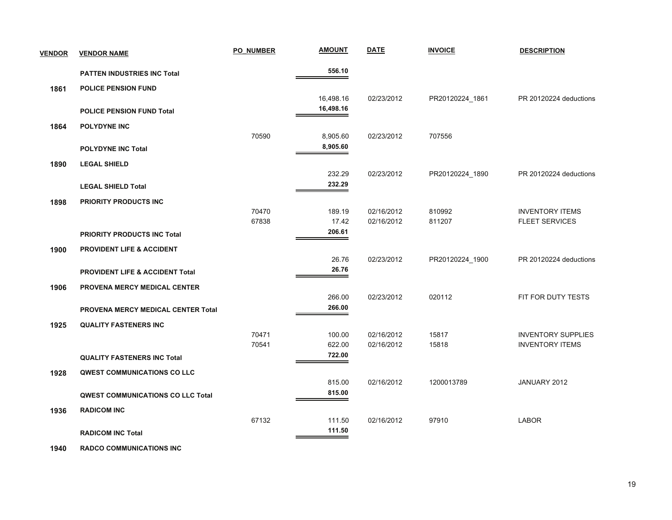| <b>VENDOR</b> | <b>VENDOR NAME</b>                         | <b>PO NUMBER</b> | <b>AMOUNT</b>   | <b>DATE</b>              | <b>INVOICE</b>   | <b>DESCRIPTION</b>                              |
|---------------|--------------------------------------------|------------------|-----------------|--------------------------|------------------|-------------------------------------------------|
|               | <b>PATTEN INDUSTRIES INC Total</b>         |                  | 556.10          |                          |                  |                                                 |
| 1861          | <b>POLICE PENSION FUND</b>                 |                  |                 |                          |                  |                                                 |
|               |                                            |                  | 16,498.16       | 02/23/2012               | PR20120224_1861  | PR 20120224 deductions                          |
|               | <b>POLICE PENSION FUND Total</b>           |                  | 16,498.16       |                          |                  |                                                 |
| 1864          | <b>POLYDYNE INC</b>                        |                  |                 |                          |                  |                                                 |
|               |                                            | 70590            | 8,905.60        | 02/23/2012               | 707556           |                                                 |
|               | <b>POLYDYNE INC Total</b>                  |                  | 8,905.60        |                          |                  |                                                 |
| 1890          | <b>LEGAL SHIELD</b>                        |                  |                 |                          |                  |                                                 |
|               |                                            |                  | 232.29          | 02/23/2012               | PR20120224_1890  | PR 20120224 deductions                          |
|               | <b>LEGAL SHIELD Total</b>                  |                  | 232.29          |                          |                  |                                                 |
| 1898          | <b>PRIORITY PRODUCTS INC</b>               |                  |                 |                          |                  |                                                 |
|               |                                            | 70470<br>67838   | 189.19<br>17.42 | 02/16/2012<br>02/16/2012 | 810992<br>811207 | <b>INVENTORY ITEMS</b><br><b>FLEET SERVICES</b> |
|               | <b>PRIORITY PRODUCTS INC Total</b>         |                  | 206.61          |                          |                  |                                                 |
|               |                                            |                  |                 |                          |                  |                                                 |
| 1900          | <b>PROVIDENT LIFE &amp; ACCIDENT</b>       |                  | 26.76           | 02/23/2012               | PR20120224_1900  | PR 20120224 deductions                          |
|               | <b>PROVIDENT LIFE &amp; ACCIDENT Total</b> |                  | 26.76           |                          |                  |                                                 |
| 1906          | PROVENA MERCY MEDICAL CENTER               |                  |                 |                          |                  |                                                 |
|               |                                            |                  | 266.00          | 02/23/2012               | 020112           | FIT FOR DUTY TESTS                              |
|               | PROVENA MERCY MEDICAL CENTER Total         |                  | 266.00          |                          |                  |                                                 |
| 1925          | <b>QUALITY FASTENERS INC</b>               |                  |                 |                          |                  |                                                 |
|               |                                            | 70471            | 100.00          | 02/16/2012               | 15817            | <b>INVENTORY SUPPLIES</b>                       |
|               |                                            | 70541            | 622.00          | 02/16/2012               | 15818            | <b>INVENTORY ITEMS</b>                          |
|               | <b>QUALITY FASTENERS INC Total</b>         |                  | 722.00          |                          |                  |                                                 |
| 1928          | <b>QWEST COMMUNICATIONS CO LLC</b>         |                  |                 |                          |                  |                                                 |
|               |                                            |                  | 815.00          | 02/16/2012               | 1200013789       | JANUARY 2012                                    |
|               | QWEST COMMUNICATIONS CO LLC Total          |                  | 815.00          |                          |                  |                                                 |
| 1936          | <b>RADICOM INC</b>                         |                  |                 |                          |                  |                                                 |
|               |                                            | 67132            | 111.50          | 02/16/2012               | 97910            | <b>LABOR</b>                                    |
|               | <b>RADICOM INC Total</b>                   |                  | 111.50          |                          |                  |                                                 |

 **1940RADCO COMMUNICATIONS INC**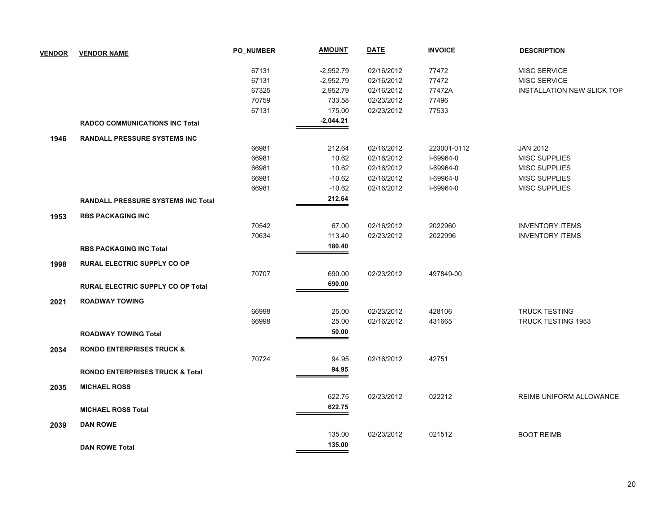| <b>VENDOR</b> | <b>VENDOR NAME</b>                         | <b>PO NUMBER</b> | <b>AMOUNT</b> | <b>DATE</b> | <b>INVOICE</b> | <b>DESCRIPTION</b>                |
|---------------|--------------------------------------------|------------------|---------------|-------------|----------------|-----------------------------------|
|               |                                            | 67131            | $-2,952.79$   | 02/16/2012  | 77472          | MISC SERVICE                      |
|               |                                            | 67131            | $-2,952.79$   | 02/16/2012  | 77472          | MISC SERVICE                      |
|               |                                            | 67325            | 2,952.79      | 02/16/2012  | 77472A         | <b>INSTALLATION NEW SLICK TOP</b> |
|               |                                            | 70759            | 733.58        | 02/23/2012  | 77496          |                                   |
|               |                                            | 67131            | 175.00        | 02/23/2012  | 77533          |                                   |
|               | <b>RADCO COMMUNICATIONS INC Total</b>      |                  | $-2,044.21$   |             |                |                                   |
| 1946          | <b>RANDALL PRESSURE SYSTEMS INC</b>        |                  |               |             |                |                                   |
|               |                                            | 66981            | 212.64        | 02/16/2012  | 223001-0112    | <b>JAN 2012</b>                   |
|               |                                            | 66981            | 10.62         | 02/16/2012  | I-69964-0      | <b>MISC SUPPLIES</b>              |
|               |                                            | 66981            | 10.62         | 02/16/2012  | I-69964-0      | MISC SUPPLIES                     |
|               |                                            | 66981            | $-10.62$      | 02/16/2012  | I-69964-0      | <b>MISC SUPPLIES</b>              |
|               |                                            | 66981            | $-10.62$      | 02/16/2012  | I-69964-0      | <b>MISC SUPPLIES</b>              |
|               | <b>RANDALL PRESSURE SYSTEMS INC Total</b>  |                  | 212.64        |             |                |                                   |
| 1953          | <b>RBS PACKAGING INC</b>                   |                  |               |             |                |                                   |
|               |                                            | 70542            | 67.00         | 02/16/2012  | 2022960        | <b>INVENTORY ITEMS</b>            |
|               |                                            | 70634            | 113.40        | 02/23/2012  | 2022996        | <b>INVENTORY ITEMS</b>            |
|               | <b>RBS PACKAGING INC Total</b>             |                  | 180.40        |             |                |                                   |
| 1998          | <b>RURAL ELECTRIC SUPPLY CO OP</b>         |                  |               |             |                |                                   |
|               |                                            | 70707            | 690.00        | 02/23/2012  | 497849-00      |                                   |
|               | <b>RURAL ELECTRIC SUPPLY CO OP Total</b>   |                  | 690.00        |             |                |                                   |
| 2021          | <b>ROADWAY TOWING</b>                      |                  |               |             |                |                                   |
|               |                                            | 66998            | 25.00         | 02/23/2012  | 428106         | <b>TRUCK TESTING</b>              |
|               |                                            | 66998            | 25.00         | 02/16/2012  | 431665         | <b>TRUCK TESTING 1953</b>         |
|               | <b>ROADWAY TOWING Total</b>                |                  | 50.00         |             |                |                                   |
| 2034          | <b>RONDO ENTERPRISES TRUCK &amp;</b>       |                  |               |             |                |                                   |
|               |                                            | 70724            | 94.95         | 02/16/2012  | 42751          |                                   |
|               | <b>RONDO ENTERPRISES TRUCK &amp; Total</b> |                  | 94.95         |             |                |                                   |
| 2035          | <b>MICHAEL ROSS</b>                        |                  |               |             |                |                                   |
|               |                                            |                  | 622.75        | 02/23/2012  | 022212         | REIMB UNIFORM ALLOWANCE           |
|               | <b>MICHAEL ROSS Total</b>                  |                  | 622.75        |             |                |                                   |
| 2039          | <b>DAN ROWE</b>                            |                  |               |             |                |                                   |
|               |                                            |                  | 135.00        | 02/23/2012  | 021512         | <b>BOOT REIMB</b>                 |
|               | <b>DAN ROWE Total</b>                      |                  | 135.00        |             |                |                                   |
|               |                                            |                  |               |             |                |                                   |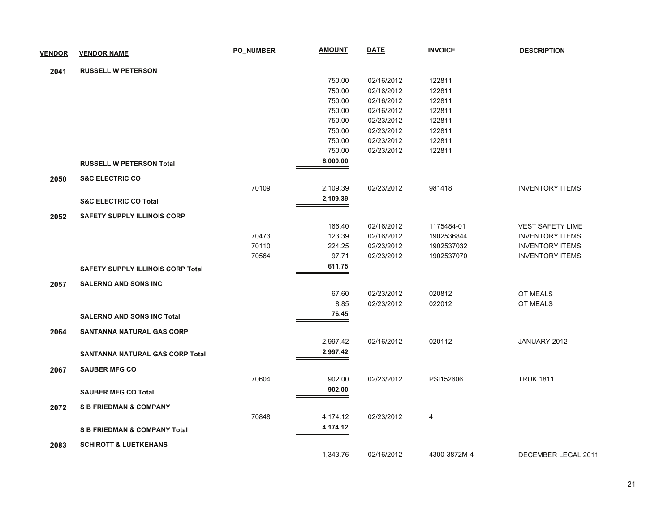| <b>VENDOR</b> | <b>VENDOR NAME</b>                       | <b>PO NUMBER</b> | <b>AMOUNT</b> | <b>DATE</b> | <b>INVOICE</b> | <b>DESCRIPTION</b>      |
|---------------|------------------------------------------|------------------|---------------|-------------|----------------|-------------------------|
| 2041          | <b>RUSSELL W PETERSON</b>                |                  |               |             |                |                         |
|               |                                          |                  | 750.00        | 02/16/2012  | 122811         |                         |
|               |                                          |                  | 750.00        | 02/16/2012  | 122811         |                         |
|               |                                          |                  | 750.00        | 02/16/2012  | 122811         |                         |
|               |                                          |                  | 750.00        | 02/16/2012  | 122811         |                         |
|               |                                          |                  | 750.00        | 02/23/2012  | 122811         |                         |
|               |                                          |                  | 750.00        | 02/23/2012  | 122811         |                         |
|               |                                          |                  | 750.00        | 02/23/2012  | 122811         |                         |
|               |                                          |                  | 750.00        | 02/23/2012  | 122811         |                         |
|               | <b>RUSSELL W PETERSON Total</b>          |                  | 6,000.00      |             |                |                         |
| 2050          | <b>S&amp;C ELECTRIC CO</b>               |                  |               |             |                |                         |
|               |                                          | 70109            | 2,109.39      | 02/23/2012  | 981418         | <b>INVENTORY ITEMS</b>  |
|               | <b>S&amp;C ELECTRIC CO Total</b>         |                  | 2,109.39      |             |                |                         |
| 2052          | <b>SAFETY SUPPLY ILLINOIS CORP</b>       |                  |               |             |                |                         |
|               |                                          |                  | 166.40        | 02/16/2012  | 1175484-01     | <b>VEST SAFETY LIME</b> |
|               |                                          | 70473            | 123.39        | 02/16/2012  | 1902536844     | <b>INVENTORY ITEMS</b>  |
|               |                                          | 70110            | 224.25        | 02/23/2012  | 1902537032     | <b>INVENTORY ITEMS</b>  |
|               |                                          | 70564            | 97.71         | 02/23/2012  | 1902537070     | <b>INVENTORY ITEMS</b>  |
|               | <b>SAFETY SUPPLY ILLINOIS CORP Total</b> |                  | 611.75        |             |                |                         |
| 2057          | <b>SALERNO AND SONS INC</b>              |                  |               |             |                |                         |
|               |                                          |                  | 67.60         | 02/23/2012  | 020812         | OT MEALS                |
|               |                                          |                  | 8.85          | 02/23/2012  | 022012         | OT MEALS                |
|               | <b>SALERNO AND SONS INC Total</b>        |                  | 76.45         |             |                |                         |
| 2064          | SANTANNA NATURAL GAS CORP                |                  |               |             |                |                         |
|               |                                          |                  | 2,997.42      | 02/16/2012  | 020112         | JANUARY 2012            |
|               | SANTANNA NATURAL GAS CORP Total          |                  | 2,997.42      |             |                |                         |
| 2067          | <b>SAUBER MFG CO</b>                     |                  |               |             |                |                         |
|               |                                          | 70604            | 902.00        | 02/23/2012  | PSI152606      | <b>TRUK 1811</b>        |
|               | <b>SAUBER MFG CO Total</b>               |                  | 902.00        |             |                |                         |
| 2072          | <b>S B FRIEDMAN &amp; COMPANY</b>        |                  |               |             |                |                         |
|               |                                          | 70848            | 4,174.12      | 02/23/2012  | 4              |                         |
|               | <b>S B FRIEDMAN &amp; COMPANY Total</b>  |                  | 4,174.12      |             |                |                         |
| 2083          | <b>SCHIROTT &amp; LUETKEHANS</b>         |                  |               |             |                |                         |
|               |                                          |                  | 1,343.76      | 02/16/2012  | 4300-3872M-4   | DECEMBER LEGAL 2011     |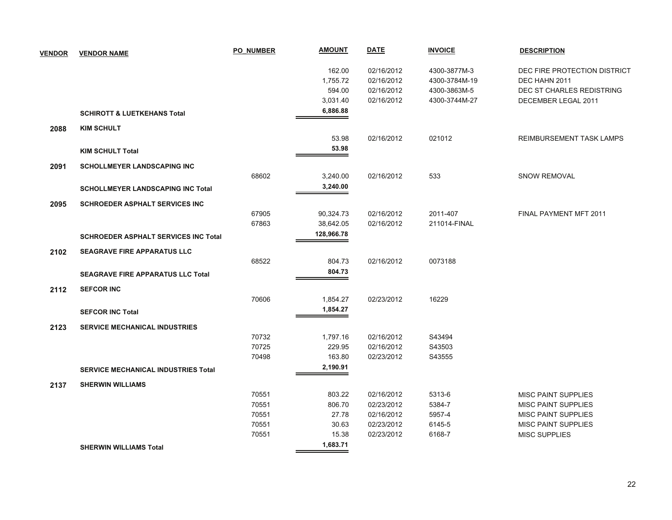| <b>VENDOR</b> | <b>VENDOR NAME</b>                          | <b>PO NUMBER</b> | <b>AMOUNT</b> | <b>DATE</b> | <b>INVOICE</b> | <b>DESCRIPTION</b>           |
|---------------|---------------------------------------------|------------------|---------------|-------------|----------------|------------------------------|
|               |                                             |                  | 162.00        | 02/16/2012  | 4300-3877M-3   | DEC FIRE PROTECTION DISTRICT |
|               |                                             |                  | 1,755.72      | 02/16/2012  | 4300-3784M-19  | DEC HAHN 2011                |
|               |                                             |                  | 594.00        | 02/16/2012  | 4300-3863M-5   | DEC ST CHARLES REDISTRING    |
|               |                                             |                  | 3,031.40      | 02/16/2012  | 4300-3744M-27  | DECEMBER LEGAL 2011          |
|               | <b>SCHIROTT &amp; LUETKEHANS Total</b>      |                  | 6,886.88      |             |                |                              |
| 2088          | <b>KIM SCHULT</b>                           |                  |               |             |                |                              |
|               |                                             |                  | 53.98         | 02/16/2012  | 021012         | REIMBURSEMENT TASK LAMPS     |
|               | <b>KIM SCHULT Total</b>                     |                  | 53.98         |             |                |                              |
| 2091          | <b>SCHOLLMEYER LANDSCAPING INC</b>          |                  |               |             |                |                              |
|               |                                             | 68602            | 3,240.00      | 02/16/2012  | 533            | <b>SNOW REMOVAL</b>          |
|               | <b>SCHOLLMEYER LANDSCAPING INC Total</b>    |                  | 3,240.00      |             |                |                              |
| 2095          | <b>SCHROEDER ASPHALT SERVICES INC</b>       |                  |               |             |                |                              |
|               |                                             | 67905            | 90,324.73     | 02/16/2012  | 2011-407       | FINAL PAYMENT MFT 2011       |
|               |                                             | 67863            | 38,642.05     | 02/16/2012  | 211014-FINAL   |                              |
|               | <b>SCHROEDER ASPHALT SERVICES INC Total</b> |                  | 128,966.78    |             |                |                              |
| 2102          | <b>SEAGRAVE FIRE APPARATUS LLC</b>          |                  |               |             |                |                              |
|               |                                             | 68522            | 804.73        | 02/16/2012  | 0073188        |                              |
|               | <b>SEAGRAVE FIRE APPARATUS LLC Total</b>    |                  | 804.73        |             |                |                              |
| 2112          | <b>SEFCOR INC</b>                           |                  |               |             |                |                              |
|               |                                             | 70606            | 1,854.27      | 02/23/2012  | 16229          |                              |
|               | <b>SEFCOR INC Total</b>                     |                  | 1,854.27      |             |                |                              |
| 2123          | <b>SERVICE MECHANICAL INDUSTRIES</b>        |                  |               |             |                |                              |
|               |                                             | 70732            | 1,797.16      | 02/16/2012  | S43494         |                              |
|               |                                             | 70725            | 229.95        | 02/16/2012  | S43503         |                              |
|               |                                             | 70498            | 163.80        | 02/23/2012  | S43555         |                              |
|               | <b>SERVICE MECHANICAL INDUSTRIES Total</b>  |                  | 2,190.91      |             |                |                              |
| 2137          | <b>SHERWIN WILLIAMS</b>                     |                  |               |             |                |                              |
|               |                                             | 70551            | 803.22        | 02/16/2012  | 5313-6         | <b>MISC PAINT SUPPLIES</b>   |
|               |                                             | 70551            | 806.70        | 02/23/2012  | 5384-7         | <b>MISC PAINT SUPPLIES</b>   |
|               |                                             | 70551            | 27.78         | 02/16/2012  | 5957-4         | <b>MISC PAINT SUPPLIES</b>   |
|               |                                             | 70551            | 30.63         | 02/23/2012  | 6145-5         | <b>MISC PAINT SUPPLIES</b>   |
|               |                                             | 70551            | 15.38         | 02/23/2012  | 6168-7         | <b>MISC SUPPLIES</b>         |
|               | <b>SHERWIN WILLIAMS Total</b>               |                  | 1,683.71      |             |                |                              |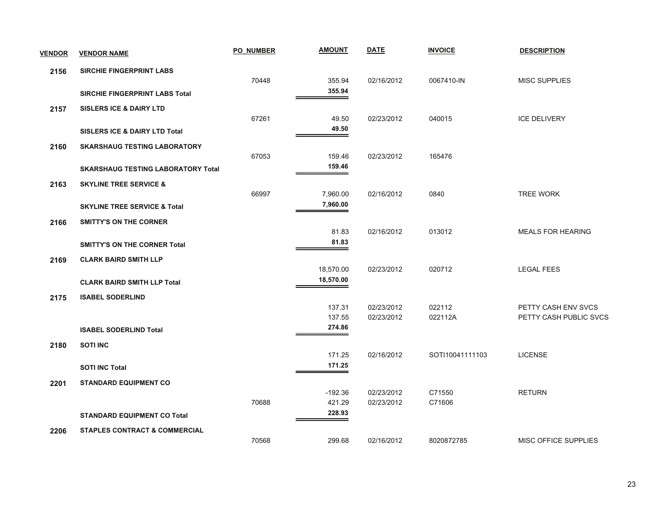| <b>VENDOR</b> | <b>VENDOR NAME</b>                        | <b>PO NUMBER</b> | <b>AMOUNT</b>    | <b>DATE</b> | <b>INVOICE</b>  | <b>DESCRIPTION</b>          |
|---------------|-------------------------------------------|------------------|------------------|-------------|-----------------|-----------------------------|
| 2156          | <b>SIRCHIE FINGERPRINT LABS</b>           |                  |                  |             |                 |                             |
|               |                                           | 70448            | 355.94           | 02/16/2012  | 0067410-IN      | <b>MISC SUPPLIES</b>        |
|               | <b>SIRCHIE FINGERPRINT LABS Total</b>     |                  | 355.94           |             |                 |                             |
| 2157          | <b>SISLERS ICE &amp; DAIRY LTD</b>        |                  |                  |             |                 |                             |
|               |                                           | 67261            | 49.50            | 02/23/2012  | 040015          | <b>ICE DELIVERY</b>         |
|               | <b>SISLERS ICE &amp; DAIRY LTD Total</b>  |                  | 49.50            |             |                 |                             |
| 2160          | <b>SKARSHAUG TESTING LABORATORY</b>       |                  |                  |             |                 |                             |
|               |                                           | 67053            | 159.46           | 02/23/2012  | 165476          |                             |
|               | <b>SKARSHAUG TESTING LABORATORY Total</b> |                  | 159.46           |             |                 |                             |
| 2163          | <b>SKYLINE TREE SERVICE &amp;</b>         |                  |                  |             |                 |                             |
|               |                                           | 66997            | 7,960.00         | 02/16/2012  | 0840            | <b>TREE WORK</b>            |
|               | <b>SKYLINE TREE SERVICE &amp; Total</b>   |                  | 7,960.00         |             |                 |                             |
| 2166          | <b>SMITTY'S ON THE CORNER</b>             |                  |                  |             |                 |                             |
|               |                                           |                  | 81.83            | 02/16/2012  | 013012          | <b>MEALS FOR HEARING</b>    |
|               | <b>SMITTY'S ON THE CORNER Total</b>       |                  | 81.83            |             |                 |                             |
| 2169          | <b>CLARK BAIRD SMITH LLP</b>              |                  |                  |             |                 |                             |
|               |                                           |                  | 18,570.00        | 02/23/2012  | 020712          | <b>LEGAL FEES</b>           |
|               | <b>CLARK BAIRD SMITH LLP Total</b>        |                  | 18,570.00        |             |                 |                             |
| 2175          | <b>ISABEL SODERLIND</b>                   |                  |                  |             |                 |                             |
|               |                                           |                  | 137.31           | 02/23/2012  | 022112          | PETTY CASH ENV SVCS         |
|               |                                           |                  | 137.55<br>274.86 | 02/23/2012  | 022112A         | PETTY CASH PUBLIC SVCS      |
|               | <b>ISABEL SODERLIND Total</b>             |                  |                  |             |                 |                             |
| 2180          | <b>SOTI INC</b>                           |                  |                  |             |                 |                             |
|               |                                           |                  | 171.25           | 02/16/2012  | SOTI10041111103 | <b>LICENSE</b>              |
|               | <b>SOTI INC Total</b>                     |                  | 171.25           |             |                 |                             |
| 2201          | <b>STANDARD EQUIPMENT CO</b>              |                  |                  |             |                 |                             |
|               |                                           |                  | $-192.36$        | 02/23/2012  | C71550          | <b>RETURN</b>               |
|               |                                           | 70688            | 421.29<br>228.93 | 02/23/2012  | C71606          |                             |
|               | <b>STANDARD EQUIPMENT CO Total</b>        |                  |                  |             |                 |                             |
| 2206          | <b>STAPLES CONTRACT &amp; COMMERCIAL</b>  |                  |                  |             |                 |                             |
|               |                                           | 70568            | 299.68           | 02/16/2012  | 8020872785      | <b>MISC OFFICE SUPPLIES</b> |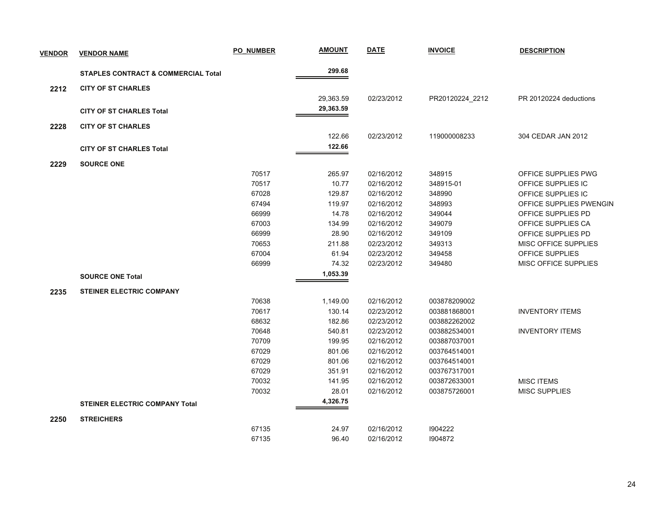| <b>VENDOR</b> | <b>VENDOR NAME</b>                             | <b>PO NUMBER</b> | <b>AMOUNT</b> | <b>DATE</b> | <b>INVOICE</b>  | <b>DESCRIPTION</b>      |
|---------------|------------------------------------------------|------------------|---------------|-------------|-----------------|-------------------------|
|               | <b>STAPLES CONTRACT &amp; COMMERCIAL Total</b> |                  | 299.68        |             |                 |                         |
| 2212          | <b>CITY OF ST CHARLES</b>                      |                  |               |             |                 |                         |
|               |                                                |                  | 29,363.59     | 02/23/2012  | PR20120224_2212 | PR 20120224 deductions  |
|               | <b>CITY OF ST CHARLES Total</b>                |                  | 29,363.59     |             |                 |                         |
|               |                                                |                  |               |             |                 |                         |
| 2228          | <b>CITY OF ST CHARLES</b>                      |                  |               |             |                 |                         |
|               |                                                |                  | 122.66        | 02/23/2012  | 119000008233    | 304 CEDAR JAN 2012      |
|               | <b>CITY OF ST CHARLES Total</b>                |                  | 122.66        |             |                 |                         |
| 2229          | <b>SOURCE ONE</b>                              |                  |               |             |                 |                         |
|               |                                                | 70517            | 265.97        | 02/16/2012  | 348915          | OFFICE SUPPLIES PWG     |
|               |                                                | 70517            | 10.77         | 02/16/2012  | 348915-01       | OFFICE SUPPLIES IC      |
|               |                                                | 67028            | 129.87        | 02/16/2012  | 348990          | OFFICE SUPPLIES IC      |
|               |                                                | 67494            | 119.97        | 02/16/2012  | 348993          | OFFICE SUPPLIES PWENGIN |
|               |                                                | 66999            | 14.78         | 02/16/2012  | 349044          | OFFICE SUPPLIES PD      |
|               |                                                | 67003            | 134.99        | 02/16/2012  | 349079          | OFFICE SUPPLIES CA      |
|               |                                                | 66999            | 28.90         | 02/16/2012  | 349109          | OFFICE SUPPLIES PD      |
|               |                                                | 70653            | 211.88        | 02/23/2012  | 349313          | MISC OFFICE SUPPLIES    |
|               |                                                | 67004            | 61.94         | 02/23/2012  | 349458          | OFFICE SUPPLIES         |
|               |                                                | 66999            | 74.32         | 02/23/2012  | 349480          | MISC OFFICE SUPPLIES    |
|               | <b>SOURCE ONE Total</b>                        |                  | 1,053.39      |             |                 |                         |
| 2235          | <b>STEINER ELECTRIC COMPANY</b>                |                  |               |             |                 |                         |
|               |                                                | 70638            | 1,149.00      | 02/16/2012  | 003878209002    |                         |
|               |                                                | 70617            | 130.14        | 02/23/2012  | 003881868001    | <b>INVENTORY ITEMS</b>  |
|               |                                                | 68632            | 182.86        | 02/23/2012  | 003882262002    |                         |
|               |                                                | 70648            | 540.81        | 02/23/2012  | 003882534001    | <b>INVENTORY ITEMS</b>  |
|               |                                                | 70709            | 199.95        | 02/16/2012  | 003887037001    |                         |
|               |                                                | 67029            | 801.06        | 02/16/2012  | 003764514001    |                         |
|               |                                                | 67029            | 801.06        | 02/16/2012  | 003764514001    |                         |
|               |                                                | 67029            | 351.91        | 02/16/2012  | 003767317001    |                         |
|               |                                                | 70032            | 141.95        | 02/16/2012  | 003872633001    | <b>MISC ITEMS</b>       |
|               |                                                | 70032            | 28.01         | 02/16/2012  | 003875726001    | MISC SUPPLIES           |
|               | <b>STEINER ELECTRIC COMPANY Total</b>          |                  | 4,326.75      |             |                 |                         |
| 2250          | <b>STREICHERS</b>                              |                  |               |             |                 |                         |
|               |                                                | 67135            | 24.97         | 02/16/2012  | 1904222         |                         |
|               |                                                | 67135            | 96.40         | 02/16/2012  | 1904872         |                         |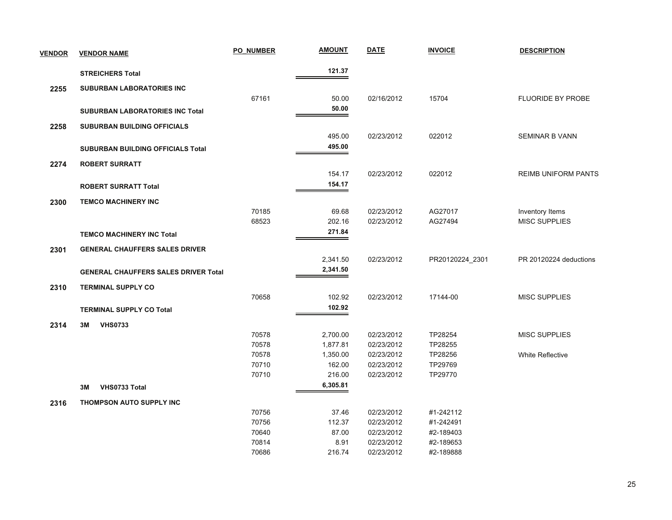| <b>VENDOR</b> | <b>VENDOR NAME</b>                          | <b>PO NUMBER</b> | <b>AMOUNT</b> | <b>DATE</b> | <b>INVOICE</b>  | <b>DESCRIPTION</b>         |
|---------------|---------------------------------------------|------------------|---------------|-------------|-----------------|----------------------------|
|               | <b>STREICHERS Total</b>                     |                  | 121.37        |             |                 |                            |
| 2255          | SUBURBAN LABORATORIES INC                   |                  |               |             |                 |                            |
|               |                                             | 67161            | 50.00         | 02/16/2012  | 15704           | <b>FLUORIDE BY PROBE</b>   |
|               | <b>SUBURBAN LABORATORIES INC Total</b>      |                  | 50.00         |             |                 |                            |
| 2258          | <b>SUBURBAN BUILDING OFFICIALS</b>          |                  |               |             |                 |                            |
|               |                                             |                  | 495.00        | 02/23/2012  | 022012          | <b>SEMINAR B VANN</b>      |
|               | <b>SUBURBAN BUILDING OFFICIALS Total</b>    |                  | 495.00        |             |                 |                            |
| 2274          | <b>ROBERT SURRATT</b>                       |                  |               |             |                 |                            |
|               |                                             |                  | 154.17        | 02/23/2012  | 022012          | <b>REIMB UNIFORM PANTS</b> |
|               | <b>ROBERT SURRATT Total</b>                 |                  | 154.17        |             |                 |                            |
|               | <b>TEMCO MACHINERY INC</b>                  |                  |               |             |                 |                            |
| 2300          |                                             | 70185            | 69.68         | 02/23/2012  | AG27017         | Inventory Items            |
|               |                                             | 68523            | 202.16        | 02/23/2012  | AG27494         | <b>MISC SUPPLIES</b>       |
|               | <b>TEMCO MACHINERY INC Total</b>            |                  | 271.84        |             |                 |                            |
| 2301          | <b>GENERAL CHAUFFERS SALES DRIVER</b>       |                  |               |             |                 |                            |
|               |                                             |                  | 2,341.50      | 02/23/2012  | PR20120224_2301 | PR 20120224 deductions     |
|               | <b>GENERAL CHAUFFERS SALES DRIVER Total</b> |                  | 2,341.50      |             |                 |                            |
|               |                                             |                  |               |             |                 |                            |
| 2310          | <b>TERMINAL SUPPLY CO</b>                   | 70658            | 102.92        | 02/23/2012  | 17144-00        | <b>MISC SUPPLIES</b>       |
|               | <b>TERMINAL SUPPLY CO Total</b>             |                  | 102.92        |             |                 |                            |
|               |                                             |                  |               |             |                 |                            |
| 2314          | 3M<br><b>VHS0733</b>                        | 70578            | 2,700.00      | 02/23/2012  | TP28254         |                            |
|               |                                             | 70578            | 1,877.81      | 02/23/2012  | TP28255         | <b>MISC SUPPLIES</b>       |
|               |                                             | 70578            | 1,350.00      | 02/23/2012  | TP28256         | <b>White Reflective</b>    |
|               |                                             | 70710            | 162.00        | 02/23/2012  | TP29769         |                            |
|               |                                             | 70710            | 216.00        | 02/23/2012  | TP29770         |                            |
|               | VHS0733 Total<br>3M                         |                  | 6,305.81      |             |                 |                            |
| 2316          | THOMPSON AUTO SUPPLY INC                    |                  |               |             |                 |                            |
|               |                                             | 70756            | 37.46         | 02/23/2012  | #1-242112       |                            |
|               |                                             | 70756            | 112.37        | 02/23/2012  | #1-242491       |                            |
|               |                                             | 70640            | 87.00         | 02/23/2012  | #2-189403       |                            |
|               |                                             | 70814            | 8.91          | 02/23/2012  | #2-189653       |                            |
|               |                                             | 70686            | 216.74        | 02/23/2012  | #2-189888       |                            |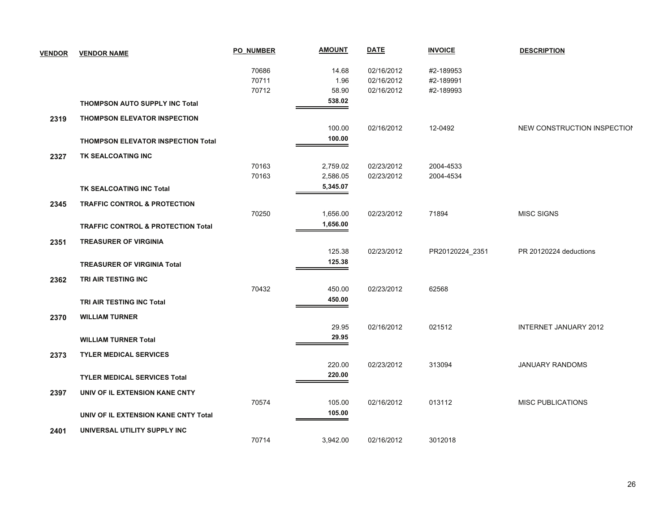|      |                                               | 70686 | 14.68    | 02/16/2012 | #2-189953       |                             |
|------|-----------------------------------------------|-------|----------|------------|-----------------|-----------------------------|
|      |                                               | 70711 | 1.96     | 02/16/2012 | #2-189991       |                             |
|      |                                               | 70712 | 58.90    | 02/16/2012 | #2-189993       |                             |
|      | <b>THOMPSON AUTO SUPPLY INC Total</b>         |       | 538.02   |            |                 |                             |
| 2319 | THOMPSON ELEVATOR INSPECTION                  |       |          |            |                 |                             |
|      |                                               |       | 100.00   | 02/16/2012 | 12-0492         | NEW CONSTRUCTION INSPECTION |
|      | <b>THOMPSON ELEVATOR INSPECTION Total</b>     |       | 100.00   |            |                 |                             |
| 2327 | TK SEALCOATING INC                            |       |          |            |                 |                             |
|      |                                               | 70163 | 2,759.02 | 02/23/2012 | 2004-4533       |                             |
|      |                                               | 70163 | 2,586.05 | 02/23/2012 | 2004-4534       |                             |
|      | TK SEALCOATING INC Total                      |       | 5,345.07 |            |                 |                             |
| 2345 | <b>TRAFFIC CONTROL &amp; PROTECTION</b>       |       |          |            |                 |                             |
|      |                                               | 70250 | 1,656.00 | 02/23/2012 | 71894           | <b>MISC SIGNS</b>           |
|      | <b>TRAFFIC CONTROL &amp; PROTECTION Total</b> |       | 1,656.00 |            |                 |                             |
| 2351 | <b>TREASURER OF VIRGINIA</b>                  |       |          |            |                 |                             |
|      |                                               |       | 125.38   | 02/23/2012 | PR20120224_2351 | PR 20120224 deductions      |
|      | <b>TREASURER OF VIRGINIA Total</b>            |       | 125.38   |            |                 |                             |
| 2362 | TRI AIR TESTING INC                           |       |          |            |                 |                             |
|      |                                               | 70432 | 450.00   | 02/23/2012 | 62568           |                             |
|      | TRI AIR TESTING INC Total                     |       | 450.00   |            |                 |                             |
|      |                                               |       |          |            |                 |                             |
| 2370 | <b>WILLIAM TURNER</b>                         |       | 29.95    | 02/16/2012 | 021512          | INTERNET JANUARY 2012       |
|      | <b>WILLIAM TURNER Total</b>                   |       | 29.95    |            |                 |                             |
|      |                                               |       |          |            |                 |                             |
| 2373 | <b>TYLER MEDICAL SERVICES</b>                 |       |          |            |                 |                             |
|      |                                               |       | 220.00   | 02/23/2012 | 313094          | <b>JANUARY RANDOMS</b>      |
|      | <b>TYLER MEDICAL SERVICES Total</b>           |       | 220.00   |            |                 |                             |
| 2397 | UNIV OF IL EXTENSION KANE CNTY                |       |          |            |                 |                             |
|      |                                               | 70574 | 105.00   | 02/16/2012 | 013112          | <b>MISC PUBLICATIONS</b>    |
|      | UNIV OF IL EXTENSION KANE CNTY Total          |       | 105.00   |            |                 |                             |
| 2401 | UNIVERSAL UTILITY SUPPLY INC                  |       |          |            |                 |                             |
|      |                                               | 70714 | 3,942.00 | 02/16/2012 | 3012018         |                             |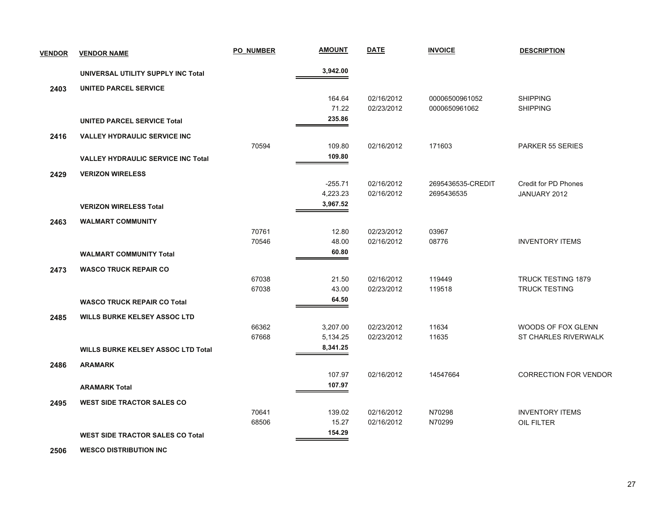| <b>VENDOR</b> | <b>VENDOR NAME</b>                        | <b>PO NUMBER</b> | <b>AMOUNT</b> | <b>DATE</b> | <b>INVOICE</b>    | <b>DESCRIPTION</b>           |
|---------------|-------------------------------------------|------------------|---------------|-------------|-------------------|------------------------------|
|               | UNIVERSAL UTILITY SUPPLY INC Total        |                  | 3,942.00      |             |                   |                              |
| 2403          | <b>UNITED PARCEL SERVICE</b>              |                  |               |             |                   |                              |
|               |                                           |                  | 164.64        | 02/16/2012  | 00006500961052    | <b>SHIPPING</b>              |
|               |                                           |                  | 71.22         | 02/23/2012  | 0000650961062     | <b>SHIPPING</b>              |
|               | <b>UNITED PARCEL SERVICE Total</b>        |                  | 235.86        |             |                   |                              |
| 2416          | <b>VALLEY HYDRAULIC SERVICE INC.</b>      |                  |               |             |                   |                              |
|               |                                           | 70594            | 109.80        | 02/16/2012  | 171603            | PARKER 55 SERIES             |
|               | <b>VALLEY HYDRAULIC SERVICE INC Total</b> |                  | 109.80        |             |                   |                              |
| 2429          | <b>VERIZON WIRELESS</b>                   |                  |               |             |                   |                              |
|               |                                           |                  | $-255.71$     | 02/16/2012  | 2695436535-CREDIT | <b>Credit for PD Phones</b>  |
|               |                                           |                  | 4,223.23      | 02/16/2012  | 2695436535        | JANUARY 2012                 |
|               | <b>VERIZON WIRELESS Total</b>             |                  | 3,967.52      |             |                   |                              |
| 2463          | <b>WALMART COMMUNITY</b>                  |                  |               |             |                   |                              |
|               |                                           | 70761            | 12.80         | 02/23/2012  | 03967             |                              |
|               |                                           | 70546            | 48.00         | 02/16/2012  | 08776             | <b>INVENTORY ITEMS</b>       |
|               | <b>WALMART COMMUNITY Total</b>            |                  | 60.80         |             |                   |                              |
| 2473          | <b>WASCO TRUCK REPAIR CO</b>              |                  |               |             |                   |                              |
|               |                                           | 67038            | 21.50         | 02/16/2012  | 119449            | <b>TRUCK TESTING 1879</b>    |
|               |                                           | 67038            | 43.00         | 02/23/2012  | 119518            | <b>TRUCK TESTING</b>         |
|               | <b>WASCO TRUCK REPAIR CO Total</b>        |                  | 64.50         |             |                   |                              |
| 2485          | <b>WILLS BURKE KELSEY ASSOC LTD</b>       |                  |               |             |                   |                              |
|               |                                           | 66362            | 3,207.00      | 02/23/2012  | 11634             | WOODS OF FOX GLENN           |
|               |                                           | 67668            | 5,134.25      | 02/23/2012  | 11635             | ST CHARLES RIVERWALK         |
|               | <b>WILLS BURKE KELSEY ASSOC LTD Total</b> |                  | 8,341.25      |             |                   |                              |
| 2486          | <b>ARAMARK</b>                            |                  |               |             |                   |                              |
|               |                                           |                  | 107.97        | 02/16/2012  | 14547664          | <b>CORRECTION FOR VENDOR</b> |
|               | <b>ARAMARK Total</b>                      |                  | 107.97        |             |                   |                              |
| 2495          | <b>WEST SIDE TRACTOR SALES CO</b>         |                  |               |             |                   |                              |
|               |                                           | 70641            | 139.02        | 02/16/2012  | N70298            | <b>INVENTORY ITEMS</b>       |
|               |                                           | 68506            | 15.27         | 02/16/2012  | N70299            | OIL FILTER                   |
|               | <b>WEST SIDE TRACTOR SALES CO Total</b>   |                  | 154.29        |             |                   |                              |
|               |                                           |                  |               |             |                   |                              |

 **2506WESCO DISTRIBUTION INC**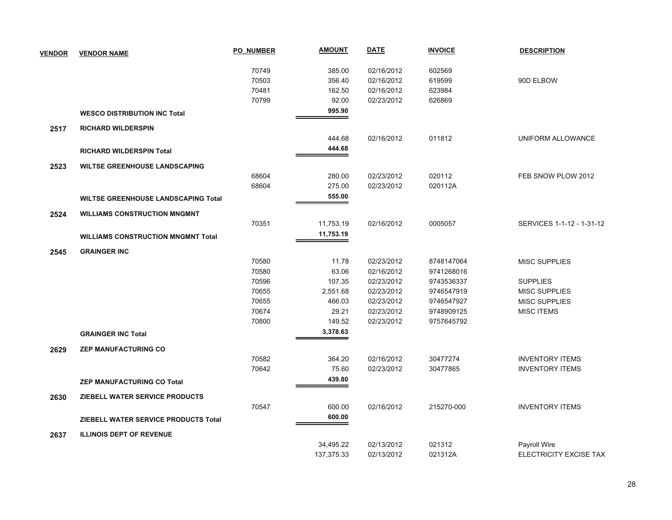| <b>VENDOR</b> | <b>VENDOR NAME</b>                         | <b>PO NUMBER</b> | <b>AMOUNT</b> | <b>DATE</b> | <b>INVOICE</b> | <b>DESCRIPTION</b>            |
|---------------|--------------------------------------------|------------------|---------------|-------------|----------------|-------------------------------|
|               |                                            | 70749            | 385.00        | 02/16/2012  | 602569         |                               |
|               |                                            | 70503            | 356.40        | 02/16/2012  | 619599         | 90D ELBOW                     |
|               |                                            | 70481            | 162.50        | 02/16/2012  | 623984         |                               |
|               |                                            | 70799            | 92.00         | 02/23/2012  | 626869         |                               |
|               | <b>WESCO DISTRIBUTION INC Total</b>        |                  | 995.90        |             |                |                               |
| 2517          | <b>RICHARD WILDERSPIN</b>                  |                  |               |             |                |                               |
|               |                                            |                  | 444.68        | 02/16/2012  | 011812         | UNIFORM ALLOWANCE             |
|               | <b>RICHARD WILDERSPIN Total</b>            |                  | 444.68        |             |                |                               |
| 2523          | <b>WILTSE GREENHOUSE LANDSCAPING</b>       |                  |               |             |                |                               |
|               |                                            | 68604            | 280.00        | 02/23/2012  | 020112         | FEB SNOW PLOW 2012            |
|               |                                            | 68604            | 275.00        | 02/23/2012  | 020112A        |                               |
|               | <b>WILTSE GREENHOUSE LANDSCAPING Total</b> |                  | 555.00        |             |                |                               |
| 2524          | <b>WILLIAMS CONSTRUCTION MNGMNT</b>        |                  |               |             |                |                               |
|               |                                            | 70351            | 11,753.19     | 02/16/2012  | 0005057        | SERVICES 1-1-12 - 1-31-12     |
|               | <b>WILLIAMS CONSTRUCTION MNGMNT Total</b>  |                  | 11,753.19     |             |                |                               |
| 2545          | <b>GRAINGER INC</b>                        |                  |               |             |                |                               |
|               |                                            | 70580            | 11.78         | 02/23/2012  | 8748147064     | <b>MISC SUPPLIES</b>          |
|               |                                            | 70580            | 63.06         | 02/16/2012  | 9741268016     |                               |
|               |                                            | 70596            | 107.35        | 02/23/2012  | 9743536337     | <b>SUPPLIES</b>               |
|               |                                            | 70655            | 2,551.68      | 02/23/2012  | 9746547919     | <b>MISC SUPPLIES</b>          |
|               |                                            | 70655            | 466.03        | 02/23/2012  | 9746547927     | <b>MISC SUPPLIES</b>          |
|               |                                            | 70674            | 29.21         | 02/23/2012  | 9748909125     | <b>MISC ITEMS</b>             |
|               |                                            | 70800            | 149.52        | 02/23/2012  | 9757645792     |                               |
|               | <b>GRAINGER INC Total</b>                  |                  | 3,378.63      |             |                |                               |
| 2629          | <b>ZEP MANUFACTURING CO</b>                |                  |               |             |                |                               |
|               |                                            | 70582            | 364.20        | 02/16/2012  | 30477274       | <b>INVENTORY ITEMS</b>        |
|               |                                            | 70642            | 75.60         | 02/23/2012  | 30477865       | <b>INVENTORY ITEMS</b>        |
|               | <b>ZEP MANUFACTURING CO Total</b>          |                  | 439.80        |             |                |                               |
| 2630          | ZIEBELL WATER SERVICE PRODUCTS             |                  |               |             |                |                               |
|               |                                            | 70547            | 600.00        | 02/16/2012  | 215270-000     | <b>INVENTORY ITEMS</b>        |
|               | ZIEBELL WATER SERVICE PRODUCTS Total       |                  | 600.00        |             |                |                               |
| 2637          | <b>ILLINOIS DEPT OF REVENUE</b>            |                  |               |             |                |                               |
|               |                                            |                  | 34,495.22     | 02/13/2012  | 021312         | Payroll Wire                  |
|               |                                            |                  | 137,375.33    | 02/13/2012  | 021312A        | <b>ELECTRICITY EXCISE TAX</b> |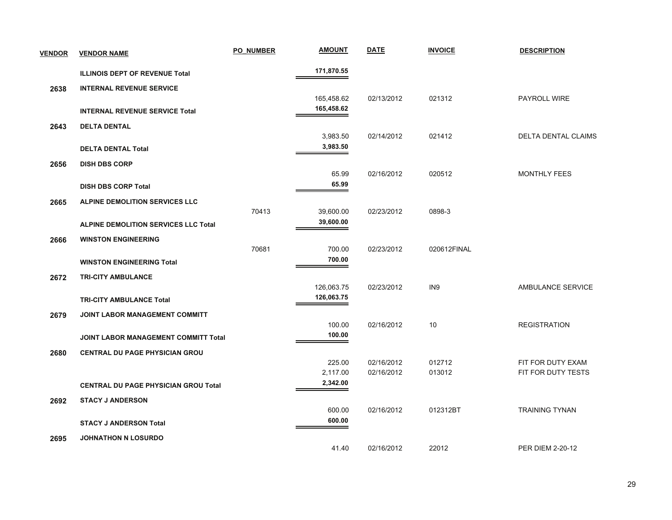| <b>VENDOR</b> | <b>VENDOR NAME</b>                          | <b>PO NUMBER</b> | <b>AMOUNT</b>          | <b>DATE</b> | <b>INVOICE</b>  | <b>DESCRIPTION</b>       |
|---------------|---------------------------------------------|------------------|------------------------|-------------|-----------------|--------------------------|
|               | <b>ILLINOIS DEPT OF REVENUE Total</b>       |                  | 171,870.55             |             |                 |                          |
| 2638          | <b>INTERNAL REVENUE SERVICE</b>             |                  |                        |             |                 |                          |
|               |                                             |                  | 165,458.62             | 02/13/2012  | 021312          | PAYROLL WIRE             |
|               | <b>INTERNAL REVENUE SERVICE Total</b>       |                  | 165,458.62             |             |                 |                          |
| 2643          | <b>DELTA DENTAL</b>                         |                  |                        |             |                 |                          |
|               |                                             |                  | 3,983.50               | 02/14/2012  | 021412          | DELTA DENTAL CLAIMS      |
|               | <b>DELTA DENTAL Total</b>                   |                  | 3,983.50               |             |                 |                          |
| 2656          | <b>DISH DBS CORP</b>                        |                  |                        |             |                 |                          |
|               |                                             |                  | 65.99<br>65.99         | 02/16/2012  | 020512          | <b>MONTHLY FEES</b>      |
|               | <b>DISH DBS CORP Total</b>                  |                  |                        |             |                 |                          |
| 2665          | <b>ALPINE DEMOLITION SERVICES LLC</b>       |                  |                        |             |                 |                          |
|               |                                             | 70413            | 39,600.00<br>39,600.00 | 02/23/2012  | 0898-3          |                          |
|               | <b>ALPINE DEMOLITION SERVICES LLC Total</b> |                  |                        |             |                 |                          |
| 2666          | <b>WINSTON ENGINEERING</b>                  | 70681            | 700.00                 | 02/23/2012  | 020612FINAL     |                          |
|               | <b>WINSTON ENGINEERING Total</b>            |                  | 700.00                 |             |                 |                          |
|               |                                             |                  |                        |             |                 |                          |
| 2672          | <b>TRI-CITY AMBULANCE</b>                   |                  | 126,063.75             | 02/23/2012  | IN <sub>9</sub> | <b>AMBULANCE SERVICE</b> |
|               | <b>TRI-CITY AMBULANCE Total</b>             |                  | 126,063.75             |             |                 |                          |
| 2679          | JOINT LABOR MANAGEMENT COMMITT              |                  |                        |             |                 |                          |
|               |                                             |                  | 100.00                 | 02/16/2012  | 10              | <b>REGISTRATION</b>      |
|               | JOINT LABOR MANAGEMENT COMMITT Total        |                  | 100.00                 |             |                 |                          |
| 2680          | <b>CENTRAL DU PAGE PHYSICIAN GROU</b>       |                  |                        |             |                 |                          |
|               |                                             |                  | 225.00                 | 02/16/2012  | 012712          | FIT FOR DUTY EXAM        |
|               |                                             |                  | 2,117.00               | 02/16/2012  | 013012          | FIT FOR DUTY TESTS       |
|               | <b>CENTRAL DU PAGE PHYSICIAN GROU Total</b> |                  | 2,342.00               |             |                 |                          |
| 2692          | <b>STACY J ANDERSON</b>                     |                  |                        |             |                 |                          |
|               |                                             |                  | 600.00                 | 02/16/2012  | 012312BT        | <b>TRAINING TYNAN</b>    |
|               | <b>STACY J ANDERSON Total</b>               |                  | 600.00                 |             |                 |                          |
| 2695          | <b>JOHNATHON N LOSURDO</b>                  |                  |                        |             |                 |                          |
|               |                                             |                  | 41.40                  | 02/16/2012  | 22012           | <b>PER DIEM 2-20-12</b>  |